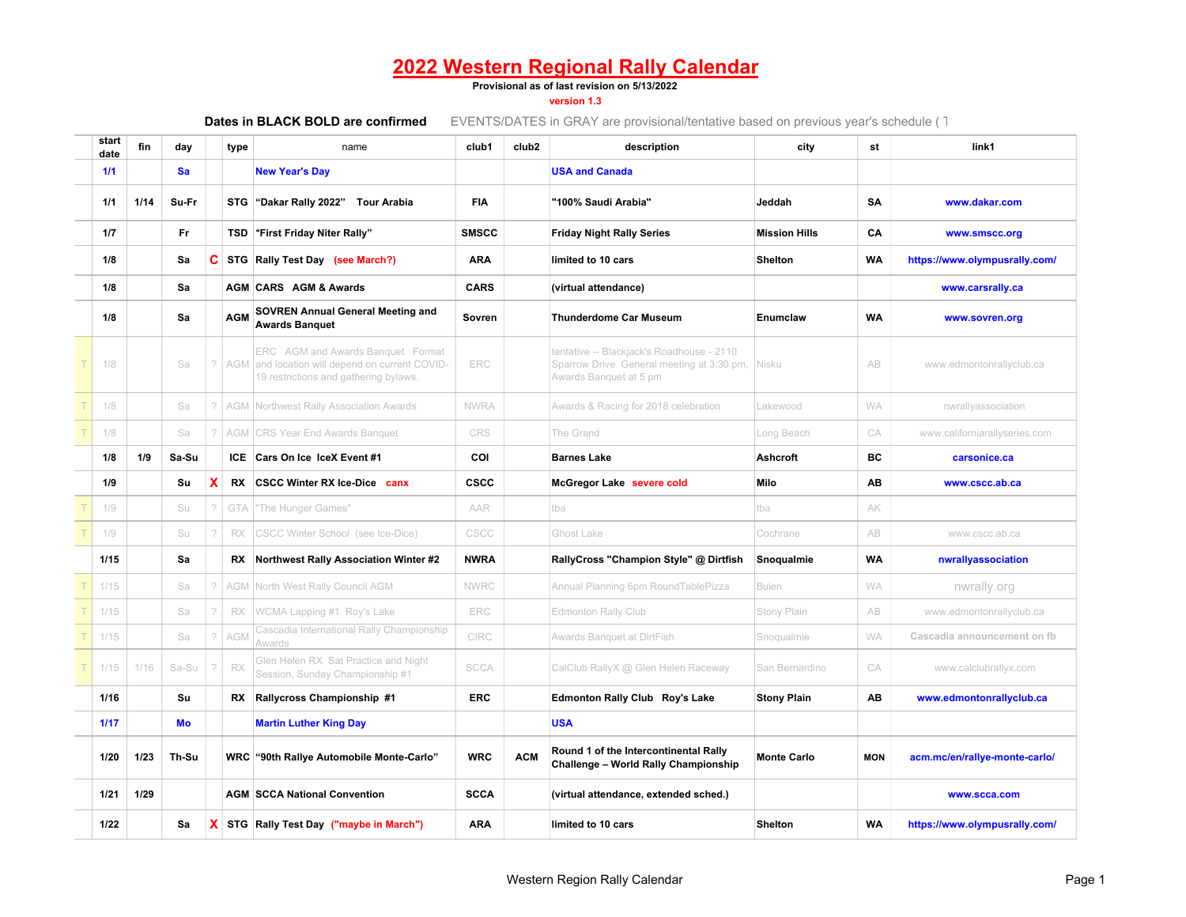#### **Provisional as of last revision on 5/13/2022**

**version 1.3**

| start<br>date | fin  | day   |             | type       | name                                                                                                                     | club1        | club <sub>2</sub> | description                                                                                                      | city                 | st         | link1                         |
|---------------|------|-------|-------------|------------|--------------------------------------------------------------------------------------------------------------------------|--------------|-------------------|------------------------------------------------------------------------------------------------------------------|----------------------|------------|-------------------------------|
| 1/1           |      | Sa    |             |            | <b>New Year's Day</b>                                                                                                    |              |                   | <b>USA and Canada</b>                                                                                            |                      |            |                               |
| 1/1           | 1/14 | Su-Fr |             |            | STG "Dakar Rally 2022" Tour Arabia                                                                                       | <b>FIA</b>   |                   | "100% Saudi Arabia"                                                                                              | Jeddah               | SA         | www.dakar.com                 |
| 1/7           |      | Fr    |             |            | TSD First Friday Niter Rally"                                                                                            | <b>SMSCC</b> |                   | <b>Friday Night Rally Series</b>                                                                                 | <b>Mission Hills</b> | CA         | www.smscc.org                 |
| 1/8           |      | Sa    | C           |            | STG Rally Test Day (see March?)                                                                                          | <b>ARA</b>   |                   | limited to 10 cars                                                                                               | <b>Shelton</b>       | <b>WA</b>  | https://www.olympusrally.com/ |
| 1/8           |      | Sa    |             |            | <b>AGM CARS AGM &amp; Awards</b>                                                                                         | <b>CARS</b>  |                   | (virtual attendance)                                                                                             |                      |            | www.carsrally.ca              |
| 1/8           |      | Sa    |             | <b>AGM</b> | <b>SOVREN Annual General Meeting and</b><br><b>Awards Banquet</b>                                                        | Sovren       |                   | <b>Thunderdome Car Museum</b>                                                                                    | <b>Enumclaw</b>      | <b>WA</b>  | www.sovren.org                |
| 1/8           |      | Sa    |             | ? AGM      | ERC AGM and Awards Banquet Format<br>and location will depend on current COVID-<br>19 restrictions and gathering bylaws. | ERC          |                   | tentative -- Blackjack's Roadhouse - 2110<br>Sparrow Drive General meeting at 3:30 pm,<br>Awards Banquet at 5 pm | Nisku                | AB         | www.edmontonrallyclub.ca      |
| 1/8           |      | Sa    | $\tilde{?}$ |            | <b>AGM</b> Northwest Rally Association Awards                                                                            | <b>NWRA</b>  |                   | Awards & Racing for 2018 celebration                                                                             | Lakewood             | <b>WA</b>  | nwrallyassociation            |
| 1/8           |      | Sa    | ?           | AGM        | <b>CRS Year End Awards Banquet</b>                                                                                       | CRS          |                   | The Grand                                                                                                        | Long Beach           | CA         | www.californiarallyseries.com |
| 1/8           | 1/9  | Sa-Su |             |            | ICE Cars On Ice IceX Event #1                                                                                            | COI          |                   | <b>Barnes Lake</b>                                                                                               | <b>Ashcroft</b>      | ВC         | carsonice.ca                  |
| 1/9           |      | Su    | X           | RX.        | <b>CSCC Winter RX Ice-Dice canx</b>                                                                                      | <b>CSCC</b>  |                   | McGregor Lake severe cold                                                                                        | Milo                 | AB         | www.cscc.ab.ca                |
| 1/9           |      | Su    | ?           | GTA        | 'The Hunger Games"                                                                                                       | AAR          |                   | tba                                                                                                              | tba                  | AK         |                               |
| 1/9           |      | Su    | 2           | RX         | CSCC Winter School (see Ice-Dice)                                                                                        | CSCC         |                   | Ghost Lake                                                                                                       | Cochrane             | AB         | www.cscc.ab.ca                |
| 1/15          |      | Sa    |             | RX         | <b>Northwest Rally Association Winter #2</b>                                                                             | <b>NWRA</b>  |                   | RallyCross "Champion Style" @ Dirtfish                                                                           | Snoqualmie           | <b>WA</b>  | nwrallyassociation            |
| 1/15          |      | Sa    | ?           | AGM        | North West Rally Council AGM                                                                                             | <b>NWRC</b>  |                   | Annual Planning 6pm RoundTablePizza                                                                              | <b>Buien</b>         | <b>WA</b>  | nwrally.org                   |
| 1/15          |      | Sa    | ?           | <b>RX</b>  | WCMA Lapping #1 Roy's Lake                                                                                               | ERC          |                   | <b>Edmonton Rally Club</b>                                                                                       | Stony Plain          | AB         | www.edmontonrallyclub.ca      |
| 1/15          |      | Sa    | $\gamma$    | <b>AGM</b> | Cascadia International Rally Championship<br>Awards                                                                      | CIRC         |                   | Awards Banquet at DirtFish                                                                                       | Snoqualmie           | <b>WA</b>  | Cascadia announcement on fb   |
| 1/15          | 1/16 | Sa-Su | $\gamma$    | RX         | Glen Helen RX Sat Practice and Night<br>Session, Sunday Championship #1                                                  | <b>SCCA</b>  |                   | CalClub RallyX @ Glen Helen Raceway                                                                              | San Bernardino       | CA         | www.calclubrallyx.com         |
| 1/16          |      | Su    |             | RX         | Rallycross Championship #1                                                                                               | <b>ERC</b>   |                   | <b>Edmonton Rally Club Roy's Lake</b>                                                                            | <b>Stony Plain</b>   | AB         | www.edmontonrallyclub.ca      |
| 1/17          |      | Mo    |             |            | <b>Martin Luther King Day</b>                                                                                            |              |                   | <b>USA</b>                                                                                                       |                      |            |                               |
| 1/20          | 1/23 | Th-Su |             |            | WRC "90th Rallye Automobile Monte-Carlo"                                                                                 | <b>WRC</b>   | <b>ACM</b>        | Round 1 of the Intercontinental Rally<br><b>Challenge - World Rally Championship</b>                             | <b>Monte Carlo</b>   | <b>MON</b> | acm.mc/en/rallye-monte-carlo/ |
| 1/21          | 1/29 |       |             |            | <b>AGM SCCA National Convention</b>                                                                                      | <b>SCCA</b>  |                   | (virtual attendance, extended sched.)                                                                            |                      |            | www.scca.com                  |
| 1/22          |      | Sa    | <b>X</b>    |            | STG Rally Test Day ("maybe in March")                                                                                    | <b>ARA</b>   |                   | limited to 10 cars                                                                                               | <b>Shelton</b>       | <b>WA</b>  | https://www.olympusrally.com/ |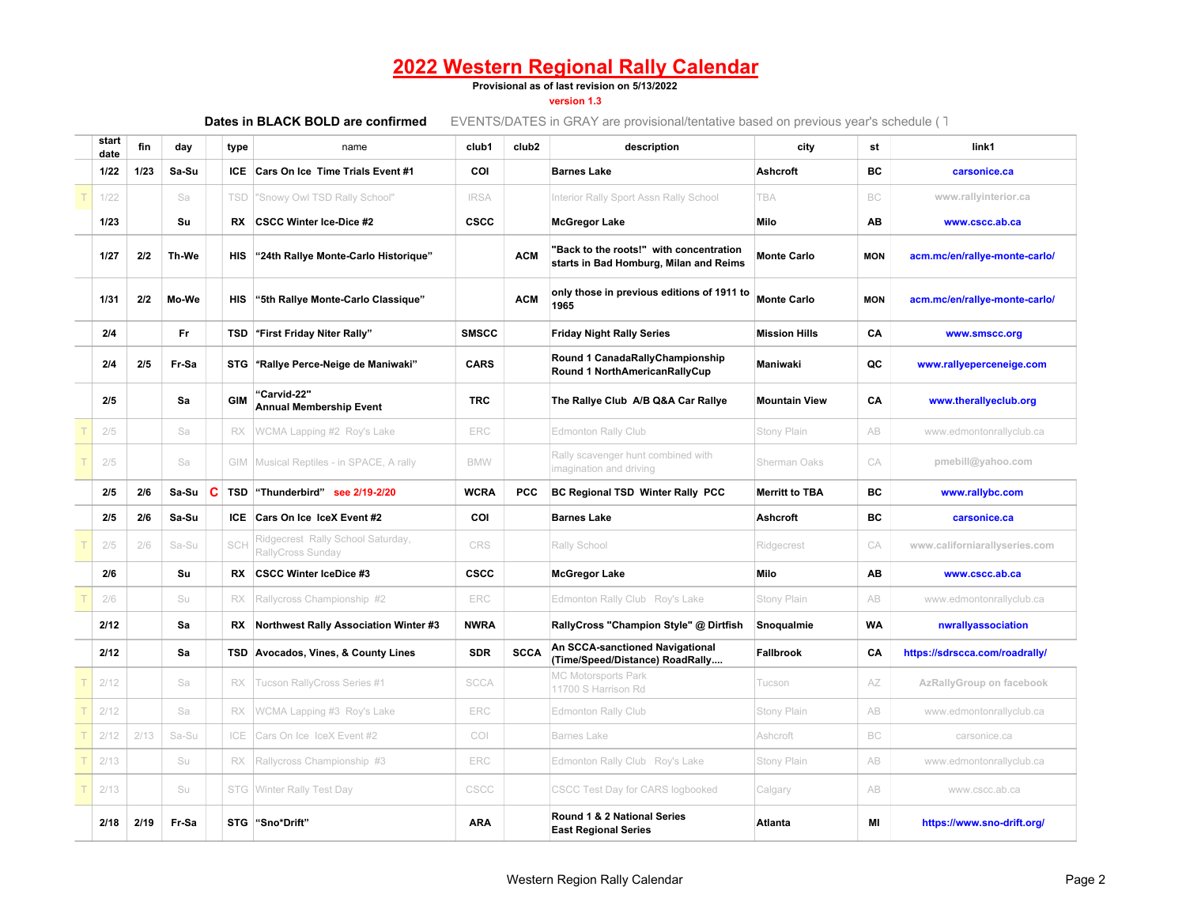#### **Provisional as of last revision on 5/13/2022**

**version 1.3**

| start<br>date | fin  | day   |   | type       | name                                                   | club1        | club <sub>2</sub> | description                                                                       | city                  | st         | link1                          |
|---------------|------|-------|---|------------|--------------------------------------------------------|--------------|-------------------|-----------------------------------------------------------------------------------|-----------------------|------------|--------------------------------|
| 1/22          | 1/23 | Sa-Su |   |            | ICE Cars On Ice Time Trials Event #1                   | COI          |                   | <b>Barnes Lake</b>                                                                | Ashcroft              | BC         | carsonice.ca                   |
| 1/22          |      | Sa    |   | <b>TSD</b> | 'Snowy Owl TSD Rally School"                           | <b>IRSA</b>  |                   | Interior Rally Sport Assn Rally School                                            | <b>TBA</b>            | BC         | www.rallyinterior.ca           |
| 1/23          |      | Su    |   | RX         | <b>CSCC Winter Ice-Dice #2</b>                         | <b>CSCC</b>  |                   | <b>McGregor Lake</b>                                                              | Milo                  | AB         | www.cscc.ab.ca                 |
| 1/27          | 2/2  | Th-We |   | HIS        | "24th Rallye Monte-Carlo Historique"                   |              | <b>ACM</b>        | "Back to the roots!" with concentration<br>starts in Bad Homburg, Milan and Reims | <b>Monte Carlo</b>    | <b>MON</b> | acm.mc/en/rallye-monte-carlo/  |
| 1/31          | 2/2  | Mo-We |   | <b>HIS</b> | "5th Rallye Monte-Carlo Classique"                     |              | <b>ACM</b>        | only those in previous editions of 1911 to<br>1965                                | <b>Monte Carlo</b>    | <b>MON</b> | acm.mc/en/rallye-monte-carlo/  |
| 2/4           |      | Fr    |   |            | TSD "First Friday Niter Rally"                         | <b>SMSCC</b> |                   | <b>Friday Night Rally Series</b>                                                  | <b>Mission Hills</b>  | CA         | www.smscc.org                  |
| 2/4           | 2/5  | Fr-Sa |   |            | STG "Rallye Perce-Neige de Maniwaki"                   | <b>CARS</b>  |                   | Round 1 CanadaRallyChampionship<br>Round 1 NorthAmericanRallyCup                  | Maniwaki              | QC         | www.rallyeperceneige.com       |
| 2/5           |      | Sa    |   | <b>GIM</b> | "Carvid-22"<br><b>Annual Membership Event</b>          | <b>TRC</b>   |                   | The Rallye Club A/B Q&A Car Rallye                                                | <b>Mountain View</b>  | CA         | www.therallyeclub.org          |
| 2/5           |      | Sa    |   | <b>RX</b>  | WCMA Lapping #2 Roy's Lake                             | ERC          |                   | Edmonton Rally Club                                                               | Stony Plain           | AB         | www.edmontonrallyclub.ca       |
| 2/5           |      | Sa    |   |            | GIM   Musical Reptiles - in SPACE, A rally             | <b>BMW</b>   |                   | Rally scavenger hunt combined with<br>magination and driving                      | Sherman Oaks          | CA         | pmebill@yahoo.com              |
| 2/5           | 2/6  | Sa-Su | C | <b>TSD</b> | "Thunderbird" see 2/19-2/20                            | <b>WCRA</b>  | PCC               | BC Regional TSD Winter Rally PCC                                                  | <b>Merritt to TBA</b> | <b>BC</b>  | www.rallybc.com                |
| 2/5           | 2/6  | Sa-Su |   | ICE        | Cars On Ice IceX Event #2                              | COI          |                   | <b>Barnes Lake</b>                                                                | <b>Ashcroft</b>       | BC         | carsonice.ca                   |
| 2/5           | 2/6  | Sa-Su |   | SCH        | Ridgecrest Rally School Saturday,<br>RallyCross Sunday | CRS          |                   | Rally School                                                                      | Ridgecrest            | CA         | www.californiarallyseries.com  |
| 2/6           |      | Su    |   | RX         | <b>CSCC Winter IceDice #3</b>                          | <b>CSCC</b>  |                   | <b>McGregor Lake</b>                                                              | Milo                  | AB         | www.cscc.ab.ca                 |
| 2/6           |      | Su    |   | RX         | Rallycross Championship #2                             | ERC          |                   | Edmonton Rally Club Roy's Lake                                                    | Stony Plain           | AB         | www.edmontonrallyclub.ca       |
| 2/12          |      | Sa    |   | RX         | <b>Northwest Rally Association Winter #3</b>           | <b>NWRA</b>  |                   | RallyCross "Champion Style" @ Dirtfish                                            | Snoqualmie            | <b>WA</b>  | nwrallyassociation             |
| 2/12          |      | Sa    |   | TSD        | Avocados, Vines, & County Lines                        | <b>SDR</b>   | <b>SCCA</b>       | An SCCA-sanctioned Navigational<br>(Time/Speed/Distance) RoadRally                | <b>Fallbrook</b>      | CA         | https://sdrscca.com/roadrally/ |
| 2/12          |      | Sa    |   | <b>RX</b>  | Tucson RallyCross Series #1                            | <b>SCCA</b>  |                   | <b>MC Motorsports Park</b><br>11700 S Harrison Rd                                 | Tucson                | AZ         | AzRallyGroup on facebook       |
| 2/12          |      | Sa    |   | RX         | WCMA Lapping #3 Roy's Lake                             | ERC          |                   | <b>Edmonton Rally Club</b>                                                        | Stony Plain           | AB         | www.edmontonrallyclub.ca       |
| 2/12          | 2/13 | Sa-Su |   | ICE        | Cars On Ice IceX Event #2                              | COI          |                   | <b>Barnes Lake</b>                                                                | Ashcroft              | BC         | carsonice.ca                   |
| 2/13          |      | Su    |   | RX         | Rallycross Championship #3                             | ERC          |                   | Edmonton Rally Club Roy's Lake                                                    | Stony Plain           | AB         | www.edmontonrallyclub.ca       |
| 2/13          |      | Su    |   |            | STG Winter Rally Test Day                              | CSCC         |                   | CSCC Test Day for CARS logbooked                                                  | Calgary               | AB         | www.cscc.ab.ca                 |
| 2/18          | 2/19 | Fr-Sa |   |            | STG "Sno*Drift"                                        | <b>ARA</b>   |                   | Round 1 & 2 National Series<br><b>East Regional Series</b>                        | Atlanta               | MI         | https://www.sno-drift.org/     |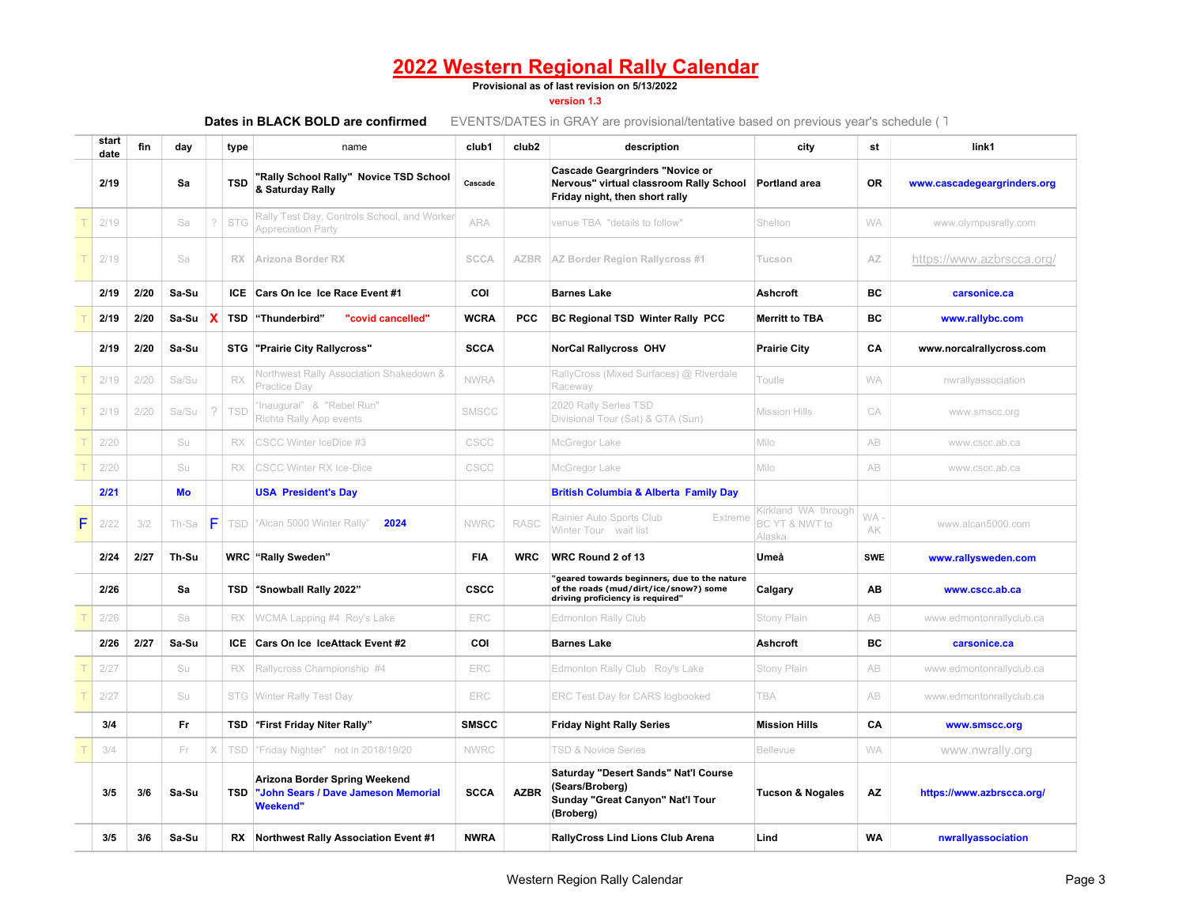#### **Provisional as of last revision on 5/13/2022**

#### **version 1.3**

|   | start<br>date | fin  | day   |               | type       | name                                                                                    | club1        | club <sub>2</sub> | description                                                                                                                | city                                            | st         | link1                       |
|---|---------------|------|-------|---------------|------------|-----------------------------------------------------------------------------------------|--------------|-------------------|----------------------------------------------------------------------------------------------------------------------------|-------------------------------------------------|------------|-----------------------------|
|   | 2/19          |      | Sa    |               | <b>TSD</b> | 'Rally School Rally" Novice TSD School<br>& Saturday Rally                              | Cascade      |                   | <b>Cascade Geargrinders "Novice or</b><br>Nervous" virtual classroom Rally School<br>Friday night, then short rally        | <b>Portland area</b>                            | <b>OR</b>  | www.cascadegeargrinders.org |
|   | 2/19          |      | Sa    | $\gamma$      | <b>STG</b> | Rally Test Day, Controls School, and Worker<br><b>Appreciation Party</b>                | <b>ARA</b>   |                   | venue TBA "details to follow"                                                                                              | Shelton                                         | <b>WA</b>  | www.olympusrally.com        |
|   | 2/19          |      | Sa    |               | RX         | Arizona Border RX                                                                       | <b>SCCA</b>  |                   | <b>AZBR</b> AZ Border Region Rallycross #1                                                                                 | Tucson                                          | AZ         | https://www.azbrscca.org/   |
|   | 2/19          | 2/20 | Sa-Su |               |            | ICE Cars On Ice Ice Race Event #1                                                       | COI          |                   | <b>Barnes Lake</b>                                                                                                         | <b>Ashcroft</b>                                 | <b>BC</b>  | carsonice.ca                |
|   | 2/19          | 2/20 | Sa-Su | X             | <b>TSD</b> | "Thunderbird"<br>"covid cancelled"                                                      | <b>WCRA</b>  | <b>PCC</b>        | <b>BC Regional TSD Winter Rally PCC</b>                                                                                    | <b>Merritt to TBA</b>                           | BС         | www.rallybc.com             |
|   | 2/19          | 2/20 | Sa-Su |               | STG        | "Prairie City Rallycross"                                                               | <b>SCCA</b>  |                   | <b>NorCal Rallycross OHV</b>                                                                                               | <b>Prairie City</b>                             | CA         | www.norcalrallycross.com    |
|   | 2/19          | 2/20 | Sa/Su |               | RX         | Northwest Rally Association Shakedown &<br>Practice Day                                 | <b>NWRA</b>  |                   | RallyCross (Mixed Surfaces) @ Riverdale<br>Raceway                                                                         | Toutle                                          | <b>WA</b>  | nwrallyassociation          |
|   | 2/19          | 2/20 | Sa/Su | $\mathcal{D}$ | TSD        | 'Inaugural" & "Rebel Run"<br>Richta Rally App events                                    | SMSCC        |                   | 2020 Rally Series TSD<br>Divisional Tour (Sat) & GTA (Sun)                                                                 | <b>Mission Hills</b>                            | CA         | www.smscc.org               |
|   | 2/20          |      | Su    |               | <b>RX</b>  | CSCC Winter IceDice #3                                                                  | CSCC         |                   | McGregor Lake                                                                                                              | Milo                                            | AB         | www.cscc.ab.ca              |
|   | 2/20          |      | Su    |               | RX         | <b>CSCC Winter RX Ice-Dice</b>                                                          | CSCC         |                   | McGregor Lake                                                                                                              | Milo                                            | AB         | www.cscc.ab.ca              |
|   | 2/21          |      | Mo    |               |            | <b>USA President's Day</b>                                                              |              |                   | <b>British Columbia &amp; Alberta Family Day</b>                                                                           |                                                 |            |                             |
| F | 2/22          | 3/2  | Th-Sa | F             | <b>TSD</b> | "Alcan 5000 Winter Rally"<br>2024                                                       | <b>NWRC</b>  | <b>RASC</b>       | Rainier Auto Sports Club<br>Extreme<br>Winter Tour wait list                                                               | Kirkland WA through<br>BC YT & NWT to<br>Alaska | WA.<br>AK  | www.alcan5000.com           |
|   | 2/24          | 2/27 | Th-Su |               |            | <b>WRC</b> "Rally Sweden"                                                               | <b>FIA</b>   | <b>WRC</b>        | WRC Round 2 of 13                                                                                                          | Umeå                                            | <b>SWE</b> | www.rallysweden.com         |
|   | 2/26          |      | Sa    |               | TSD        | "Snowball Rally 2022"                                                                   | <b>CSCC</b>  |                   | 'geared towards beginners, due to the nature<br>of the roads (mud/dirt/ice/snow?) some<br>driving proficiency is required" | Calgary                                         | ΑВ         | www.cscc.ab.ca              |
|   | 2/26          |      | Sa    |               | RX         | WCMA Lapping #4 Roy's Lake                                                              | ERC          |                   | <b>Edmonton Rally Club</b>                                                                                                 | Stony Plain                                     | AB         | www.edmontonrallyclub.ca    |
|   | 2/26          | 2/27 | Sa-Su |               | ICE.       | Cars On Ice IceAttack Event #2                                                          | COI          |                   | <b>Barnes Lake</b>                                                                                                         | <b>Ashcroft</b>                                 | BС         | carsonice.ca                |
|   | 2/27          |      | Su    |               | RX         | Rallycross Championship #4                                                              | ERC          |                   | Edmonton Rally Club Roy's Lake                                                                                             | Stony Plain                                     | AB         | www.edmontonrallyclub.ca    |
|   | 2/27          |      | Su    |               | STG        | Winter Rally Test Day                                                                   | ERC          |                   | ERC Test Day for CARS logbooked                                                                                            | <b>TBA</b>                                      | AB         | www.edmontonrallyclub.ca    |
|   | 3/4           |      | Fr    |               | TSD        | "First Friday Niter Rally"                                                              | <b>SMSCC</b> |                   | <b>Friday Night Rally Series</b>                                                                                           | <b>Mission Hills</b>                            | CA         | www.smscc.org               |
|   | 3/4           |      | Fr    | X             | <b>TSD</b> | "Friday Nighter" not in 2018/19/20                                                      | <b>NWRC</b>  |                   | <b>TSD &amp; Novice Series</b>                                                                                             | <b>Bellevue</b>                                 | <b>WA</b>  | www.nwrally.org             |
|   | 3/5           | 3/6  | Sa-Su |               | TSD        | Arizona Border Spring Weekend<br>"John Sears / Dave Jameson Memorial<br><b>Weekend"</b> | <b>SCCA</b>  | <b>AZBR</b>       | Saturday "Desert Sands" Nat'l Course<br>(Sears/Broberg)<br>Sunday "Great Canyon" Nat'l Tour<br>(Broberg)                   | <b>Tucson &amp; Nogales</b>                     | <b>AZ</b>  | https://www.azbrscca.org/   |
|   | 3/5           | 3/6  | Sa-Su |               | RX         | <b>Northwest Rally Association Event #1</b>                                             | <b>NWRA</b>  |                   | <b>RallyCross Lind Lions Club Arena</b>                                                                                    | Lind                                            | <b>WA</b>  | nwrallyassociation          |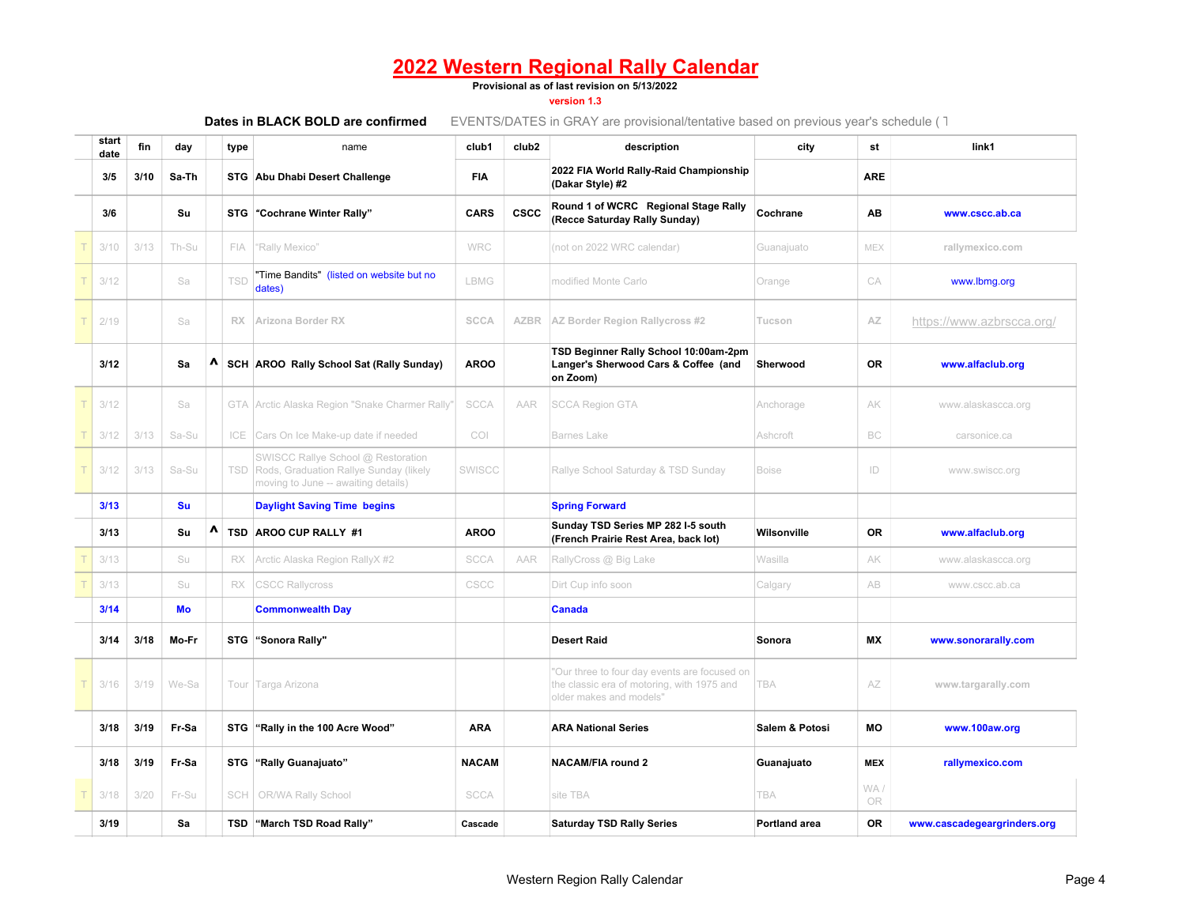#### **Provisional as of last revision on 5/13/2022**

#### **version 1.3**

| Dates in BLACK BOLD are confirmed |  |
|-----------------------------------|--|
|-----------------------------------|--|

| start<br>date | fin  | day   |                                 | type       | name                                                                                                                | club1        | club <sub>2</sub> | description                                                                                                           | city                      | st               | link1                       |
|---------------|------|-------|---------------------------------|------------|---------------------------------------------------------------------------------------------------------------------|--------------|-------------------|-----------------------------------------------------------------------------------------------------------------------|---------------------------|------------------|-----------------------------|
| 3/5           | 3/10 | Sa-Th |                                 |            | STG Abu Dhabi Desert Challenge                                                                                      | <b>FIA</b>   |                   | 2022 FIA World Rally-Raid Championship<br>(Dakar Style) #2                                                            |                           | <b>ARE</b>       |                             |
| 3/6           |      | Su    |                                 |            | STG "Cochrane Winter Rally"                                                                                         | <b>CARS</b>  | <b>CSCC</b>       | Round 1 of WCRC Regional Stage Rally<br>(Recce Saturday Rally Sunday)                                                 | Cochrane                  | AB               | www.cscc.ab.ca              |
| 3/10          | 3/13 | Th-Su |                                 | FIA        | "Rally Mexico"                                                                                                      | <b>WRC</b>   |                   | (not on 2022 WRC calendar)                                                                                            | Guanajuato                | MEX              | rallymexico.com             |
| 3/12          |      | Sa    |                                 | TSD        | "Time Bandits" (listed on website but no<br>dates)                                                                  | <b>LBMG</b>  |                   | modified Monte Carlo                                                                                                  | Orange                    | CA               | www.lbmg.org                |
| 2/19          |      | Sa    |                                 | <b>RX</b>  | Arizona Border RX                                                                                                   | <b>SCCA</b>  | <b>AZBR</b>       | AZ Border Region Rallycross #2                                                                                        | Tucson                    | AZ               | https://www.azbrscca.org/   |
| 3/12          |      | Sa    | $\boldsymbol{\mathsf{\Lambda}}$ |            | SCH AROO Rally School Sat (Rally Sunday)                                                                            | <b>AROO</b>  |                   | TSD Beginner Rally School 10:00am-2pm<br>Langer's Sherwood Cars & Coffee (and<br>on Zoom)                             | Sherwood                  | <b>OR</b>        | www.alfaclub.org            |
| 3/12          |      | Sa    |                                 | GTA        | Arctic Alaska Region "Snake Charmer Rally"                                                                          | <b>SCCA</b>  | AAR               | <b>SCCA Region GTA</b>                                                                                                | Anchorage                 | AK               | www.alaskascca.org          |
| 3/12          | 3/13 | Sa-Su |                                 | ICE        | Cars On Ice Make-up date if needed                                                                                  | <b>COI</b>   |                   | <b>Barnes Lake</b>                                                                                                    | Ashcroft                  | BC               | carsonice.ca                |
| 3/12          | 3/13 | Sa-Su |                                 | <b>TSD</b> | SWISCC Rallye School @ Restoration<br>Rods, Graduation Rallye Sunday (likely<br>moving to June -- awaiting details) | SWISCC       |                   | Rallye School Saturday & TSD Sunday                                                                                   | <b>Boise</b>              | ID               | www.swiscc.org              |
| 3/13          |      | Su    |                                 |            | <b>Daylight Saving Time begins</b>                                                                                  |              |                   | <b>Spring Forward</b>                                                                                                 |                           |                  |                             |
| 3/13          |      | Su    | Λ                               |            | TSD AROO CUP RALLY #1                                                                                               | <b>AROO</b>  |                   | Sunday TSD Series MP 282 I-5 south<br>(French Prairie Rest Area, back lot)                                            | Wilsonville               | <b>OR</b>        | www.alfaclub.org            |
| 3/13          |      | Su    |                                 | RX         | Arctic Alaska Region RallyX #2                                                                                      | <b>SCCA</b>  | AAR               | RallyCross @ Big Lake                                                                                                 | Wasilla                   | AK               | www.alaskascca.org          |
| 3/13          |      | Su    |                                 | <b>RX</b>  | <b>CSCC Rallycross</b>                                                                                              | CSCC         |                   | Dirt Cup info soon                                                                                                    | Calgary                   | AB               | www.cscc.ab.ca              |
| 3/14          |      | Mo    |                                 |            | <b>Commonwealth Day</b>                                                                                             |              |                   | <b>Canada</b>                                                                                                         |                           |                  |                             |
| 3/14          | 3/18 | Mo-Fr |                                 |            | STG "Sonora Rally"                                                                                                  |              |                   | <b>Desert Raid</b>                                                                                                    | Sonora                    | <b>MX</b>        | www.sonorarally.com         |
| 3/16          | 3/19 | We-Sa |                                 |            | Tour Targa Arizona                                                                                                  |              |                   | "Our three to four day events are focused on<br>the classic era of motoring, with 1975 and<br>older makes and models" | <b>TBA</b>                | AZ               | www.targarally.com          |
| 3/18          | 3/19 | Fr-Sa |                                 |            | STG "Rally in the 100 Acre Wood"                                                                                    | <b>ARA</b>   |                   | <b>ARA National Series</b>                                                                                            | <b>Salem &amp; Potosi</b> | <b>MO</b>        | www.100aw.org               |
| 3/18          | 3/19 | Fr-Sa |                                 |            | STG "Rally Guanajuato"                                                                                              | <b>NACAM</b> |                   | <b>NACAM/FIA round 2</b>                                                                                              | Guanajuato                | <b>MEX</b>       | rallymexico.com             |
| 3/18          | 3/20 | Fr-Su |                                 | SCH        | OR/WA Rally School                                                                                                  | <b>SCCA</b>  |                   | site TBA                                                                                                              | <b>TBA</b>                | WA/<br><b>OR</b> |                             |
| 3/19          |      | Sa    |                                 |            | TSD "March TSD Road Rally"                                                                                          | Cascade      |                   | <b>Saturday TSD Rally Series</b>                                                                                      | <b>Portland area</b>      | <b>OR</b>        | www.cascadegeargrinders.org |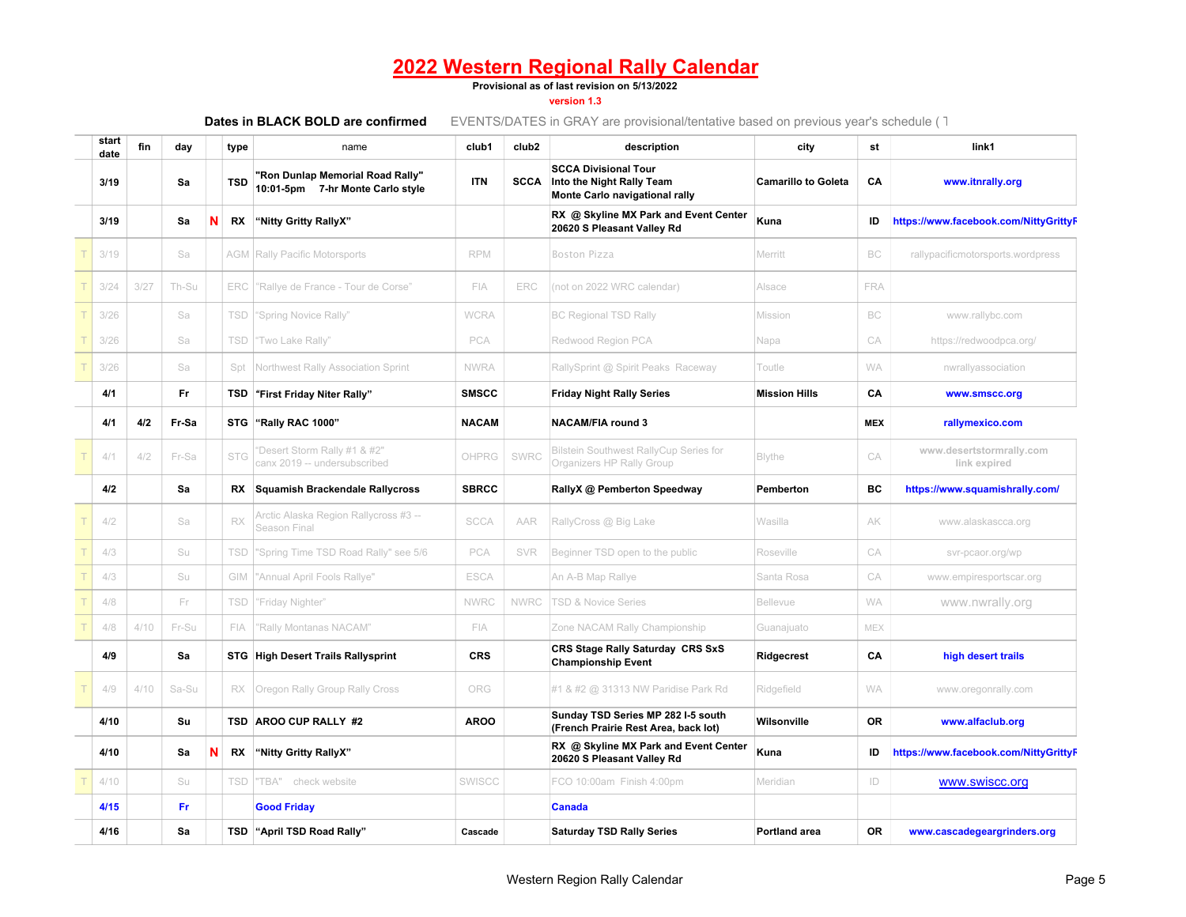#### **Provisional as of last revision on 5/13/2022**

### **version 1.3**

| start<br>date | fin  | day   |   | type       | name                                                                 | club1         | club <sub>2</sub> | description                                                                                | city                       | st         | link1                                    |
|---------------|------|-------|---|------------|----------------------------------------------------------------------|---------------|-------------------|--------------------------------------------------------------------------------------------|----------------------------|------------|------------------------------------------|
| 3/19          |      | Sa    |   | <b>TSD</b> | "Ron Dunlap Memorial Road Rally"<br>10:01-5pm 7-hr Monte Carlo style | <b>ITN</b>    | <b>SCCA</b>       | <b>SCCA Divisional Tour</b><br>Into the Night Rally Team<br>Monte Carlo navigational rally | <b>Camarillo to Goleta</b> | CA         | www.itnrally.org                         |
| 3/19          |      | Sa    | N | RX         | "Nitty Gritty RallyX"                                                |               |                   | RX @ Skyline MX Park and Event Center<br>20620 S Pleasant Valley Rd                        | Kuna                       | ID         | https://www.facebook.com/NittyGrittyF    |
| 3/19          |      | Sa    |   |            | <b>AGM Rally Pacific Motorsports</b>                                 | <b>RPM</b>    |                   | <b>Boston Pizza</b>                                                                        | Merritt                    | BC         | rallypacificmotorsports.wordpress        |
| 3/24          | 3/27 | Th-Su |   | ERC        | "Rallye de France - Tour de Corse"                                   | FIA           | ERC               | (not on 2022 WRC calendar)                                                                 | Alsace                     | <b>FRA</b> |                                          |
| 3/26          |      | Sa    |   | TSD        | "Spring Novice Rally"                                                | <b>WCRA</b>   |                   | <b>BC Regional TSD Rally</b>                                                               | Mission                    | <b>BC</b>  | www.rallybc.com                          |
| 3/26          |      | Sa    |   | <b>TSD</b> | 'Two Lake Rally"                                                     | PCA           |                   | Redwood Region PCA                                                                         | Napa                       | CA         | https://redwoodpca.org/                  |
| 3/26          |      | Sa    |   | Spt        | Northwest Rally Association Sprint                                   | <b>NWRA</b>   |                   | RallySprint @ Spirit Peaks Raceway                                                         | Toutle                     | <b>WA</b>  | nwrallyassociation                       |
| 4/1           |      | Fr.   |   | TSD        | "First Friday Niter Rally"                                           | <b>SMSCC</b>  |                   | <b>Friday Night Rally Series</b>                                                           | <b>Mission Hills</b>       | CA         | www.smscc.org                            |
| 4/1           | 4/2  | Fr-Sa |   | <b>STG</b> | "Rally RAC 1000"                                                     | <b>NACAM</b>  |                   | <b>NACAM/FIA round 3</b>                                                                   |                            | <b>MEX</b> | rallymexico.com                          |
| 4/1           | 4/2  | Fr-Sa |   | <b>STG</b> | 'Desert Storm Rally #1 & #2"<br>canx 2019 -- undersubscribed         | OHPRG         | SWRC              | <b>Bilstein Southwest RallyCup Series for</b><br>Organizers HP Rally Group                 | <b>Blythe</b>              | CA         | www.desertstormrally.com<br>link expired |
| 4/2           |      | Sa    |   |            | RX Squamish Brackendale Rallycross                                   | <b>SBRCC</b>  |                   | RallyX @ Pemberton Speedway                                                                | Pemberton                  | ВC         | https://www.squamishrally.com/           |
| 4/2           |      | Sa    |   | RX         | Arctic Alaska Region Rallycross #3 --<br>Season Final                | <b>SCCA</b>   | AAR               | RallyCross @ Big Lake                                                                      | Wasilla                    | АK         | www.alaskascca.org                       |
| 4/3           |      | Su    |   | TSD        | "Spring Time TSD Road Rally" see 5/6                                 | PCA           | SVR               | Beginner TSD open to the public                                                            | Roseville                  | CA         | svr-pcaor.org/wp                         |
| 4/3           |      | Su    |   | GIM        | "Annual April Fools Rallye"                                          | <b>ESCA</b>   |                   | An A-B Map Rallye                                                                          | Santa Rosa                 | CA         | www.empiresportscar.org                  |
| 4/8           |      | Fr    |   | <b>TSD</b> | "Friday Nighter"                                                     | <b>NWRC</b>   | <b>NWRC</b>       | <b>TSD &amp; Novice Series</b>                                                             | Bellevue                   | <b>WA</b>  | www.nwrally.org                          |
| 4/8           | 4/10 | Fr-Su |   | FIA        | 'Rally Montanas NACAM"                                               | <b>FIA</b>    |                   | Zone NACAM Rally Championship                                                              | Guanajuato                 | <b>MEX</b> |                                          |
| 4/9           |      | Sa    |   |            | <b>STG</b> High Desert Trails Rallysprint                            | <b>CRS</b>    |                   | CRS Stage Rally Saturday CRS SxS<br><b>Championship Event</b>                              | Ridgecrest                 | CA         | high desert trails                       |
| 4/9           | 4/10 | Sa-Su |   | RX.        | Oregon Rally Group Rally Cross                                       | ORG           |                   | #1 & #2 @ 31313 NW Paridise Park Rd                                                        | Ridgefield                 | <b>WA</b>  | www.oregonrally.com                      |
| 4/10          |      | Su    |   |            | TSD AROO CUP RALLY #2                                                | <b>AROO</b>   |                   | Sunday TSD Series MP 282 I-5 south<br>(French Prairie Rest Area, back lot)                 | Wilsonville                | <b>OR</b>  | www.alfaclub.org                         |
| 4/10          |      | Sa    | N | RX         | "Nitty Gritty RallyX"                                                |               |                   | RX @ Skyline MX Park and Event Center<br>20620 S Pleasant Valley Rd                        | Kuna                       | ID         | https://www.facebook.com/NittyGrittyF    |
| 4/10          |      | Su    |   | TSD        | "TBA" check website                                                  | <b>SWISCC</b> |                   | FCO 10:00am Finish 4:00pm                                                                  | Meridian                   | ID         | www.swiscc.org                           |
| 4/15          |      | Fr.   |   |            | <b>Good Friday</b>                                                   |               |                   | <b>Canada</b>                                                                              |                            |            |                                          |
| 4/16          |      | Sa    |   | TSD        | "April TSD Road Rally"                                               | Cascade       |                   | <b>Saturday TSD Rally Series</b>                                                           | <b>Portland area</b>       | <b>OR</b>  | www.cascadegeargrinders.org              |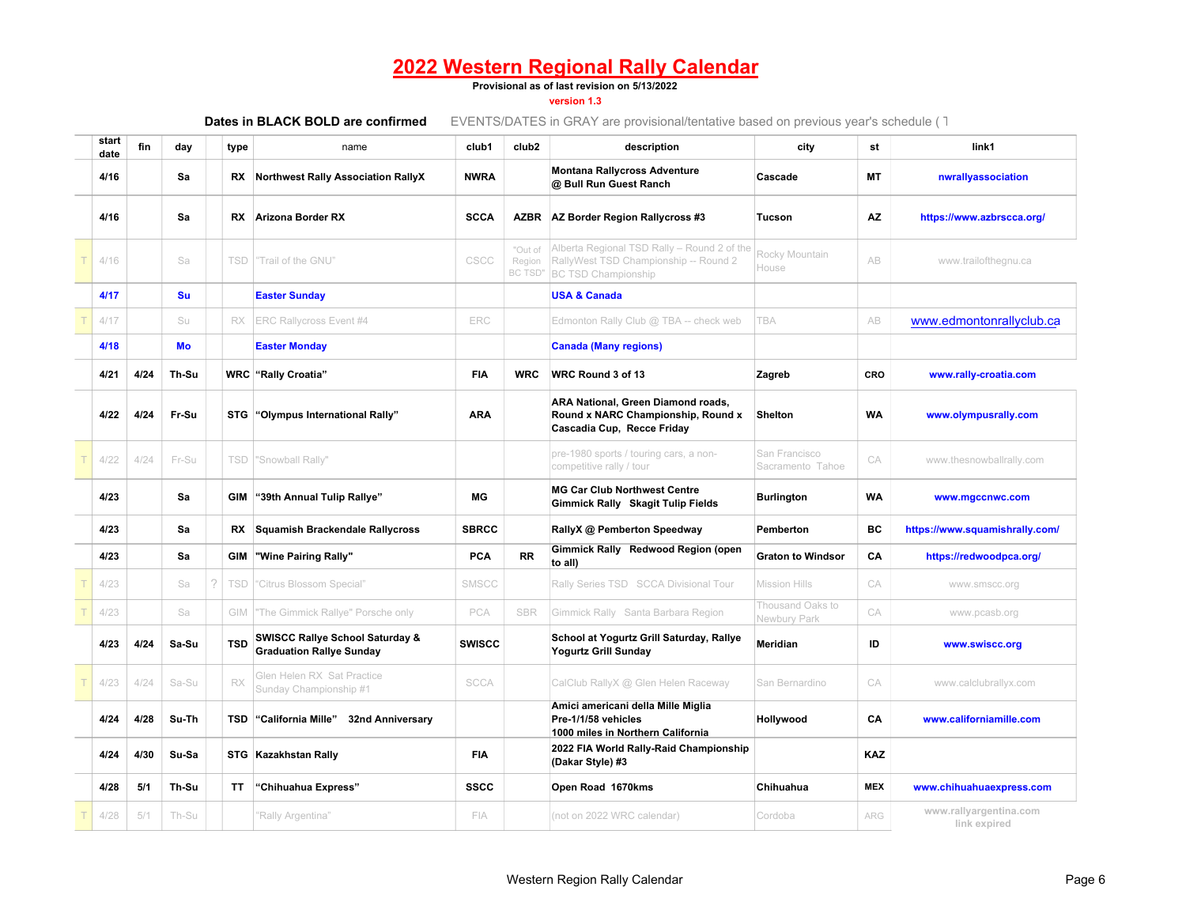#### **Provisional as of last revision on 5/13/2022**

#### **version 1.3**

| Dates in BLACK BOLD are confirmed |
|-----------------------------------|
|-----------------------------------|

| start<br>date | fin  | day   |   | type       | name                                                                          | club1         | club <sub>2</sub>                   | description                                                                                                        | city                              | st         | link1                                  |
|---------------|------|-------|---|------------|-------------------------------------------------------------------------------|---------------|-------------------------------------|--------------------------------------------------------------------------------------------------------------------|-----------------------------------|------------|----------------------------------------|
| 4/16          |      | Sa    |   | RX         | <b>Northwest Rally Association RallyX</b>                                     | <b>NWRA</b>   |                                     | <b>Montana Rallycross Adventure</b><br>@ Bull Run Guest Ranch                                                      | Cascade                           | МT         | nwrallyassociation                     |
| 4/16          |      | Sa    |   |            | <b>RX</b> Arizona Border RX                                                   | <b>SCCA</b>   | <b>AZBR</b>                         | AZ Border Region Rallycross #3                                                                                     | Tucson                            | AZ         | https://www.azbrscca.org/              |
| 4/16          |      | Sa    |   | <b>TSD</b> | "Trail of the GNU"                                                            | CSCC          | "Out of<br>Region<br><b>BC TSD"</b> | Alberta Regional TSD Rally - Round 2 of the<br>RallyWest TSD Championship -- Round 2<br><b>BC TSD Championship</b> | Rocky Mountain<br>House           | AB         | www.trailofthegnu.ca                   |
| 4/17          |      | Su    |   |            | <b>Easter Sunday</b>                                                          |               |                                     | <b>USA &amp; Canada</b>                                                                                            |                                   |            |                                        |
| 4/17          |      | Su    |   | RX.        | <b>ERC Rallycross Event #4</b>                                                | ERC           |                                     | Edmonton Rally Club @ TBA -- check web                                                                             | <b>TBA</b>                        | AB         | www.edmontonrallyclub.ca               |
| 4/18          |      | Mo    |   |            | <b>Easter Monday</b>                                                          |               |                                     | <b>Canada (Many regions)</b>                                                                                       |                                   |            |                                        |
| 4/21          | 4/24 | Th-Su |   |            | <b>WRC</b> "Rally Croatia"                                                    | <b>FIA</b>    | <b>WRC</b>                          | WRC Round 3 of 13                                                                                                  | Zagreb                            | CRO        | www.rally-croatia.com                  |
| 4/22          | 4/24 | Fr-Su |   |            | STG "Olympus International Rally"                                             | <b>ARA</b>    |                                     | ARA National, Green Diamond roads,<br>Round x NARC Championship, Round x<br>Cascadia Cup, Recce Friday             | <b>Shelton</b>                    | <b>WA</b>  | www.olympusrally.com                   |
| 4/22          | 4/24 | Fr-Su |   |            | TSD "Snowball Rally"                                                          |               |                                     | pre-1980 sports / touring cars, a non-<br>competitive rally / tour                                                 | San Francisco<br>Sacramento Tahoe | CA         | www.thesnowballrally.com               |
| 4/23          |      | Sa    |   |            | GIM "39th Annual Tulip Rallye"                                                | МG            |                                     | <b>MG Car Club Northwest Centre</b><br>Gimmick Rally Skagit Tulip Fields                                           | <b>Burlington</b>                 | WA         | www.mgccnwc.com                        |
| 4/23          |      | Sa    |   |            | RX Squamish Brackendale Rallycross                                            | <b>SBRCC</b>  |                                     | RallyX @ Pemberton Speedway                                                                                        | Pemberton                         | ВC         | https://www.squamishrally.com/         |
| 4/23          |      | Sa    |   | GIM        | "Wine Pairing Rally"                                                          | PCA           | <b>RR</b>                           | Gimmick Rally Redwood Region (open<br>to all)                                                                      | <b>Graton to Windsor</b>          | CA         | https://redwoodpca.org/                |
| 4/23          |      | Sa    | 2 | <b>TSD</b> | "Citrus Blossom Special"                                                      | SMSCC         |                                     | Rally Series TSD SCCA Divisional Tour                                                                              | <b>Mission Hills</b>              | CA         | www.smscc.org                          |
| 4/23          |      | Sa    |   | GIM        | "The Gimmick Rallye" Porsche only                                             | PCA           | SBR                                 | Gimmick Rally Santa Barbara Region                                                                                 | Thousand Oaks to<br>Newbury Park  | CA         | www.pcasb.org                          |
| 4/23          | 4/24 | Sa-Su |   | <b>TSD</b> | <b>SWISCC Rallye School Saturday &amp;</b><br><b>Graduation Rallye Sunday</b> | <b>SWISCC</b> |                                     | School at Yogurtz Grill Saturday, Rallye<br>Yogurtz Grill Sunday                                                   | Meridian                          | ID         | www.swiscc.org                         |
| 4/23          | 4/24 | Sa-Su |   | RX         | Glen Helen RX Sat Practice<br>Sunday Championship #1                          | <b>SCCA</b>   |                                     | CalClub RallyX @ Glen Helen Raceway                                                                                | San Bernardino                    | CA         | www.calclubrallyx.com                  |
| 4/24          | 4/28 | Su-Th |   |            | TSD "California Mille"<br>32nd Anniversary                                    |               |                                     | Amici americani della Mille Miglia<br>Pre-1/1/58 vehicles<br>1000 miles in Northern California                     | Hollywood                         | CA         | www.californiamille.com                |
| 4/24          | 4/30 | Su-Sa |   |            | STG Kazakhstan Rally                                                          | <b>FIA</b>    |                                     | 2022 FIA World Rally-Raid Championship<br>(Dakar Style) #3                                                         |                                   | KAZ        |                                        |
| 4/28          | 5/1  | Th-Su |   | TT.        | "Chihuahua Express"                                                           | <b>SSCC</b>   |                                     | Open Road 1670kms                                                                                                  | Chihuahua                         | <b>MEX</b> | www.chihuahuaexpress.com               |
| 4/28          | 5/1  | Th-Su |   |            | "Rally Argentina"                                                             | <b>FIA</b>    |                                     | (not on 2022 WRC calendar)                                                                                         | Cordoba                           | ARG        | www.rallyargentina.com<br>link expired |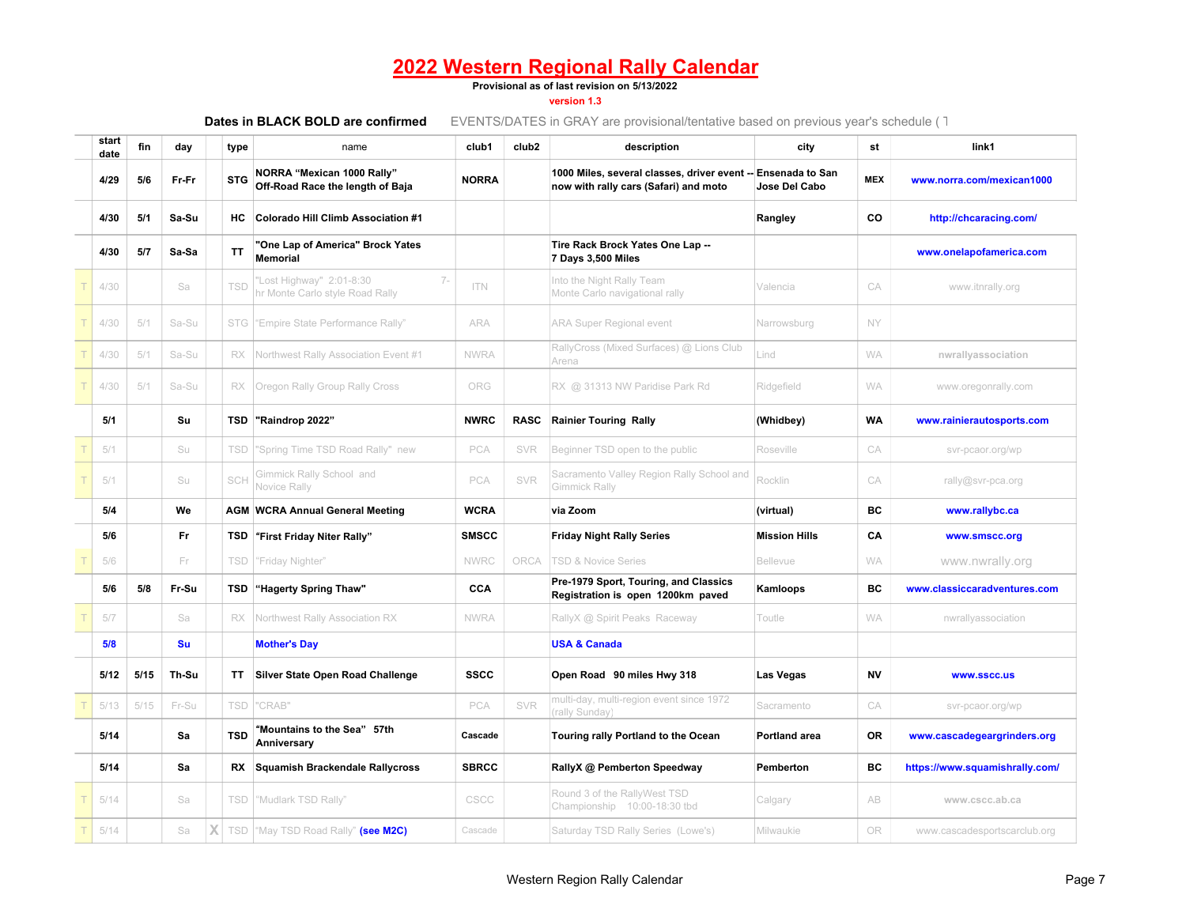#### **Provisional as of last revision on 5/13/2022**

#### **version 1.3**

| start<br>date | fin  | day     | type       | name                                                                 | club1        | club <sub>2</sub> | description                                                                                           | city                 | st         | link1                          |
|---------------|------|---------|------------|----------------------------------------------------------------------|--------------|-------------------|-------------------------------------------------------------------------------------------------------|----------------------|------------|--------------------------------|
| 4/29          | 5/6  | Fr-Fr   | <b>STG</b> | NORRA "Mexican 1000 Rally"<br>Off-Road Race the length of Baja       | <b>NORRA</b> |                   | 1000 Miles, several classes, driver event -- Ensenada to San<br>now with rally cars (Safari) and moto | Jose Del Cabo        | <b>MEX</b> | www.norra.com/mexican1000      |
| 4/30          | 5/1  | Sa-Su   | нc         | <b>Colorado Hill Climb Association #1</b>                            |              |                   |                                                                                                       | Rangley              | CO         | http://chcaracing.com/         |
| 4/30          | 5/7  | Sa-Sa   | ΤT         | "One Lap of America" Brock Yates<br><b>Memorial</b>                  |              |                   | Tire Rack Brock Yates One Lap --<br>7 Days 3,500 Miles                                                |                      |            | www.onelapofamerica.com        |
| 4/30          |      | Sa      | TSD        | 'Lost Highway" 2:01-8:30<br>$7 -$<br>hr Monte Carlo style Road Rally | <b>ITN</b>   |                   | Into the Night Rally Team<br>Monte Carlo navigational rally                                           | Valencia             | CA         | www.itnrally.org               |
| 4/30          | 5/1  | Sa-Su   |            | STG "Empire State Performance Rally"                                 | ARA          |                   | <b>ARA Super Regional event</b>                                                                       | Narrowsburg          | <b>NY</b>  |                                |
| 4/30          | 5/1  | Sa-Su   | RX         | Northwest Rally Association Event #1                                 | <b>NWRA</b>  |                   | RallyCross (Mixed Surfaces) @ Lions Club<br>Arena                                                     | Lind                 | <b>WA</b>  | nwrallyassociation             |
| 4/30          | 5/1  | Sa-Su   | RX         | Oregon Rally Group Rally Cross                                       | ORG          |                   | RX @ 31313 NW Paridise Park Rd                                                                        | Ridgefield           | <b>WA</b>  | www.oregonrally.com            |
| 5/1           |      | Su      |            | TSD "Raindrop 2022"                                                  | <b>NWRC</b>  | <b>RASC</b>       | <b>Rainier Touring Rally</b>                                                                          | (Whidbey)            | <b>WA</b>  | www.rainierautosports.com      |
| 5/1           |      | Su      | TSD        | "Spring Time TSD Road Rally" new                                     | PCA          | <b>SVR</b>        | Beginner TSD open to the public                                                                       | Roseville            | CA         | svr-pcaor.org/wp               |
| 5/1           |      | Su      | SCH        | Gimmick Rally School and<br>Novice Rally                             | PCA          | SVR               | Sacramento Valley Region Rally School and<br>Gimmick Rally                                            | Rocklin              | CA         | rally@svr-pca.org              |
| 5/4           |      | We      |            | <b>AGM WCRA Annual General Meeting</b>                               | <b>WCRA</b>  |                   | via Zoom                                                                                              | (virtual)            | BC         | www.rallybc.ca                 |
| 5/6           |      | Fr      | TSD        | "First Friday Niter Rally"                                           | <b>SMSCC</b> |                   | <b>Friday Night Rally Series</b>                                                                      | <b>Mission Hills</b> | CA         | www.smscc.org                  |
| 5/6           |      | Fr.     | TSD        | "Friday Nighter"                                                     | <b>NWRC</b>  | ORCA              | <b>TSD &amp; Novice Series</b>                                                                        | <b>Bellevue</b>      | <b>WA</b>  | www.nwrally.org                |
| 5/6           | 5/8  | Fr-Su   | TSD        | "Hagerty Spring Thaw"                                                | CCA          |                   | Pre-1979 Sport, Touring, and Classics<br>Registration is open 1200km paved                            | Kamloops             | BC         | www.classiccaradventures.com   |
| 5/7           |      | Sa      | RX.        | Northwest Rally Association RX                                       | <b>NWRA</b>  |                   | RallyX @ Spirit Peaks Raceway                                                                         | Toutle               | <b>WA</b>  | nwrallyassociation             |
| 5/8           |      | Su      |            | <b>Mother's Day</b>                                                  |              |                   | <b>USA &amp; Canada</b>                                                                               |                      |            |                                |
| 5/12          | 5/15 | Th-Su   | ΤT         | <b>Silver State Open Road Challenge</b>                              | <b>SSCC</b>  |                   | Open Road 90 miles Hwy 318                                                                            | Las Vegas            | <b>NV</b>  | www.sscc.us                    |
| 5/13          | 5/15 | Fr-Su   | <b>TSD</b> | "CRAB"                                                               | PCA          | SVR               | multi-day, multi-region event since 1972<br>rally Sunday)                                             | Sacramento           | CA         | svr-pcaor.org/wp               |
| 5/14          |      | Sa      | <b>TSD</b> | "Mountains to the Sea" 57th<br>Anniversary                           | Cascade      |                   | Touring rally Portland to the Ocean                                                                   | Portland area        | <b>OR</b>  | www.cascadegeargrinders.org    |
| 5/14          |      | Sa      | RX         | <b>Squamish Brackendale Rallycross</b>                               | <b>SBRCC</b> |                   | RallyX @ Pemberton Speedway                                                                           | Pemberton            | ВC         | https://www.squamishrally.com/ |
| 5/14          |      | Sa      | TSD        | "Mudlark TSD Rally"                                                  | CSCC         |                   | Round 3 of the RallyWest TSD<br>Championship 10:00-18:30 tbd                                          | Calgary              | AB         | www.cscc.ab.ca                 |
| 5/14          |      | Χ<br>Sa |            | TSD   "May TSD Road Rally" (see M2C)                                 | Cascade      |                   | Saturday TSD Rally Series (Lowe's)                                                                    | Milwaukie            | <b>OR</b>  | www.cascadesportscarclub.org   |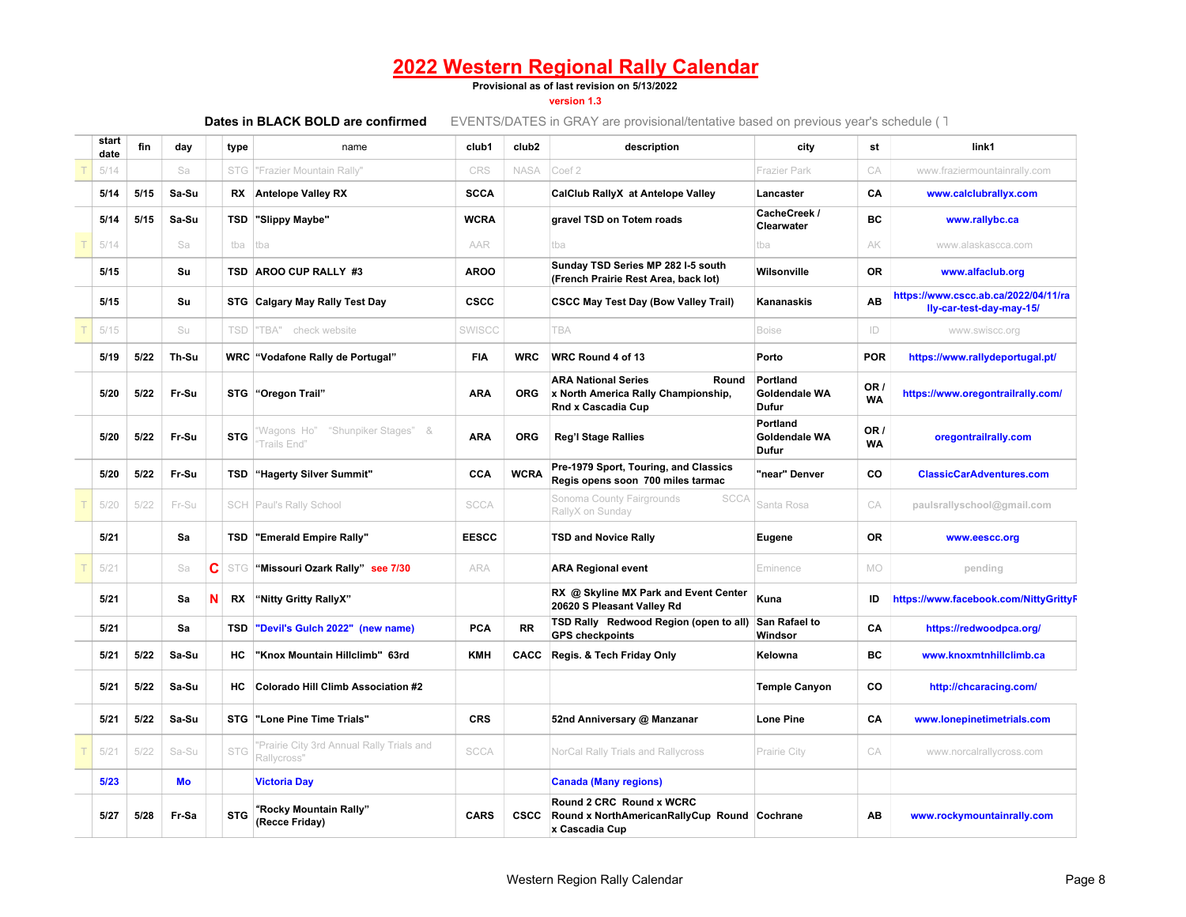#### **Provisional as of last revision on 5/13/2022**

**version 1.3**

| start<br>date | fin  | day   |   | type       | name                                                     | club1        | club <sub>2</sub> | description                                                                                      | city                               | st                | link1                                                            |
|---------------|------|-------|---|------------|----------------------------------------------------------|--------------|-------------------|--------------------------------------------------------------------------------------------------|------------------------------------|-------------------|------------------------------------------------------------------|
| 5/14          |      | Sa    |   | <b>STG</b> | "Frazier Mountain Rally"                                 | CRS          | <b>NASA</b>       | Coef 2                                                                                           | <b>Frazier Park</b>                | CA                | www.fraziermountainrally.com                                     |
| 5/14          | 5/15 | Sa-Su |   | RX         | <b>Antelope Valley RX</b>                                | <b>SCCA</b>  |                   | CalClub RallyX at Antelope Valley                                                                | Lancaster                          | CΑ                | www.calclubrallyx.com                                            |
| 5/14          | 5/15 | Sa-Su |   | TSD        | "Slippy Maybe"                                           | <b>WCRA</b>  |                   | gravel TSD on Totem roads                                                                        | CacheCreek /<br>Clearwater         | BC                | www.rallybc.ca                                                   |
| 5/14          |      | Sa    |   | tba        | tba                                                      | AAR          |                   | tba                                                                                              | tba                                | AK                | www.alaskascca.com                                               |
| 5/15          |      | Su    |   | TSD        | AROO CUP RALLY #3                                        | <b>AROO</b>  |                   | Sunday TSD Series MP 282 I-5 south<br>(French Prairie Rest Area, back lot)                       | Wilsonville                        | <b>OR</b>         | www.alfaclub.org                                                 |
| 5/15          |      | Su    |   |            | STG Calgary May Rally Test Day                           | <b>CSCC</b>  |                   | <b>CSCC May Test Day (Bow Valley Trail)</b>                                                      | Kananaskis                         | AB                | https://www.cscc.ab.ca/2022/04/11/ra<br>lly-car-test-day-may-15/ |
| 5/15          |      | Su    |   | TSD        | TBA"<br>check website                                    | SWISCC       |                   | TBA                                                                                              | <b>Boise</b>                       | ID                | www.swiscc.org                                                   |
| 5/19          | 5/22 | Th-Su |   | WRC        | "Vodafone Rally de Portugal"                             | <b>FIA</b>   | <b>WRC</b>        | WRC Round 4 of 13                                                                                | Porto                              | <b>POR</b>        | https://www.rallydeportugal.pt/                                  |
| 5/20          | 5/22 | Fr-Su |   |            | STG "Oregon Trail"                                       | <b>ARA</b>   | <b>ORG</b>        | <b>ARA National Series</b><br>Round<br>x North America Rally Championship,<br>Rnd x Cascadia Cup | Portland<br>Goldendale WA<br>Dufur | OR /<br><b>WA</b> | https://www.oregontrailrally.com/                                |
| 5/20          | 5/22 | Fr-Su |   | <b>STG</b> | Wagons Ho"<br>"Shunpiker Stages" &<br>Trails End"        | <b>ARA</b>   | <b>ORG</b>        | <b>Reg'l Stage Rallies</b>                                                                       | Portland<br>Goldendale WA<br>Dufur | OR /<br><b>WA</b> | oregontrailrally.com                                             |
| 5/20          | 5/22 | Fr-Su |   | TSD        | "Hagerty Silver Summit"                                  | CCA          | <b>WCRA</b>       | Pre-1979 Sport, Touring, and Classics<br>Regis opens soon 700 miles tarmac                       | "near" Denver                      | CO                | <b>ClassicCarAdventures.com</b>                                  |
| 5/20          | 5/22 | Fr-Su |   | SCH        | Paul's Rally School                                      | <b>SCCA</b>  |                   | <b>SCCA</b><br>Sonoma County Fairgrounds<br>RallyX on Sunday                                     | Santa Rosa                         | CA                | paulsrallyschool@gmail.com                                       |
| 5/21          |      | Sa    |   | TSD        | "Emerald Empire Rally"                                   | <b>EESCC</b> |                   | <b>TSD and Novice Rally</b>                                                                      | Eugene                             | <b>OR</b>         | www.eescc.org                                                    |
| 5/21          |      | Sa    | С | <b>STG</b> | "Missouri Ozark Rally" see 7/30                          | <b>ARA</b>   |                   | <b>ARA Regional event</b>                                                                        | Eminence                           | <b>MO</b>         | pending                                                          |
| 5/21          |      | Sa    | N | RX         | "Nitty Gritty RallyX"                                    |              |                   | RX @ Skyline MX Park and Event Center<br>20620 S Pleasant Valley Rd                              | Kuna                               | ID                | https://www.facebook.com/NittyGrittyF                            |
| 5/21          |      | Sa    |   | TSD        | "Devil's Gulch 2022" (new name)                          | PCA          | <b>RR</b>         | TSD Rally Redwood Region (open to all)<br><b>GPS checkpoints</b>                                 | San Rafael to<br>Windsor           | CA                | https://redwoodpca.org/                                          |
| 5/21          | 5/22 | Sa-Su |   | HC         | "Knox Mountain Hillclimb" 63rd                           | <b>KMH</b>   | CACC              | Regis. & Tech Friday Only                                                                        | Kelowna                            | BC                | www.knoxmtnhillclimb.ca                                          |
| 5/21          | 5/22 | Sa-Su |   | HC         | <b>Colorado Hill Climb Association #2</b>                |              |                   |                                                                                                  | <b>Temple Canyon</b>               | CO                | http://chcaracing.com/                                           |
| 5/21          | 5/22 | Sa-Su |   | <b>STG</b> | "Lone Pine Time Trials"                                  | <b>CRS</b>   |                   | 52nd Anniversary @ Manzanar                                                                      | <b>Lone Pine</b>                   | CA                | www.lonepinetimetrials.com                                       |
| 5/21          | 5/22 | Sa-Su |   | STG        | 'Prairie City 3rd Annual Rally Trials and<br>Rallycross" | <b>SCCA</b>  |                   | NorCal Rally Trials and Rallycross                                                               | Prairie City                       | CA                | www.norcalrallycross.com                                         |
| 5/23          |      | Mo    |   |            | <b>Victoria Day</b>                                      |              |                   | <b>Canada (Many regions)</b>                                                                     |                                    |                   |                                                                  |
| 5/27          | 5/28 | Fr-Sa |   | <b>STG</b> | "Rocky Mountain Rally"<br>(Recce Friday)                 | <b>CARS</b>  | <b>CSCC</b>       | Round 2 CRC Round x WCRC<br>Round x NorthAmericanRallyCup Round Cochrane<br>x Cascadia Cup       |                                    | AB                | www.rockymountainrally.com                                       |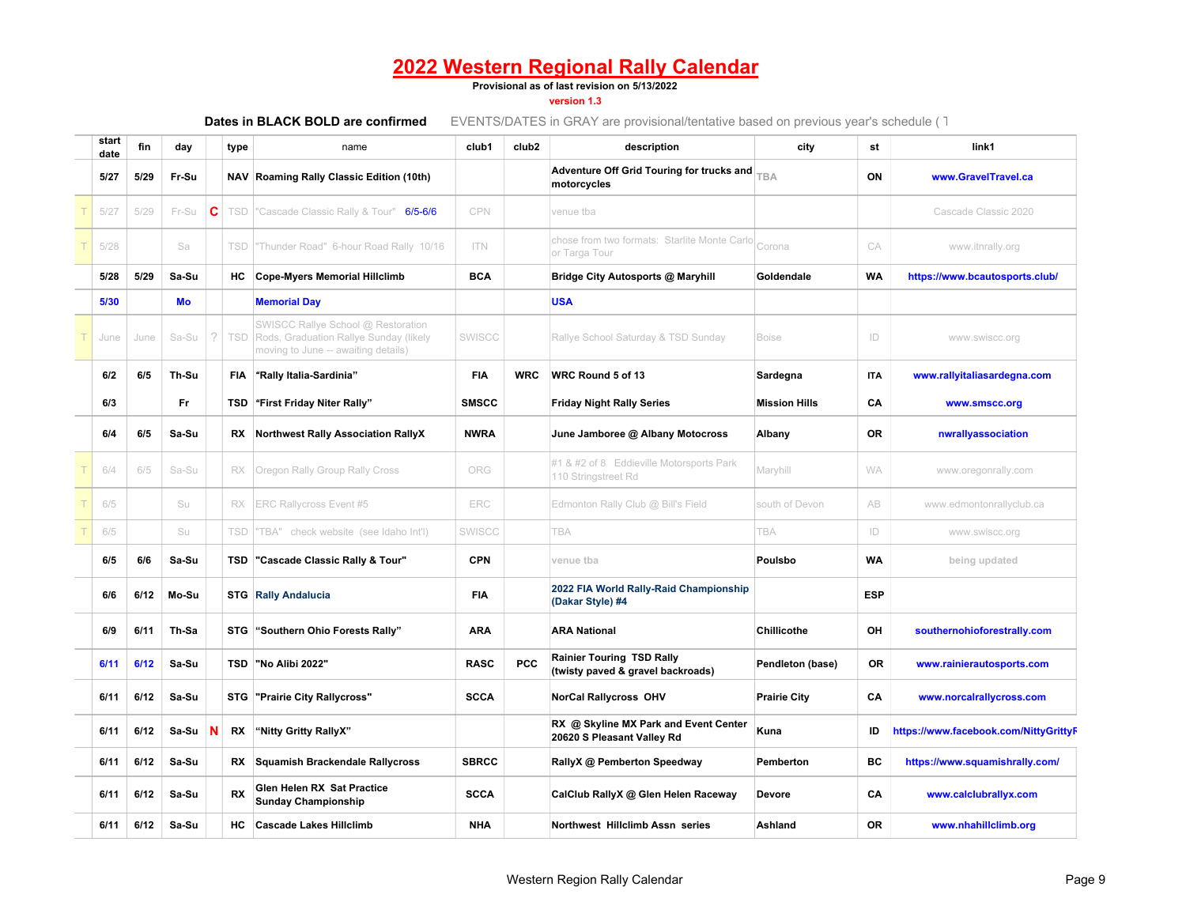#### **Provisional as of last revision on 5/13/2022**

#### **version 1.3**

| start<br>date | fin  | day   |   | type       | name                                                                                                                | club1        | club <sub>2</sub> | description                                                           | city                 | st          | link1                                 |
|---------------|------|-------|---|------------|---------------------------------------------------------------------------------------------------------------------|--------------|-------------------|-----------------------------------------------------------------------|----------------------|-------------|---------------------------------------|
| 5/27          | 5/29 | Fr-Su |   |            | NAV Roaming Rally Classic Edition (10th)                                                                            |              |                   | Adventure Off Grid Touring for trucks and<br>motorcycles              | TBA                  | ON          | www.GravelTravel.ca                   |
| 5/27          | 5/29 | Fr-Su | c |            | TSD  "Cascade Classic Rally & Tour" 6/5-6/6                                                                         | CPN          |                   | venue tba                                                             |                      |             | Cascade Classic 2020                  |
| 5/28          |      | Sa    |   | TSD        | "Thunder Road" 6-hour Road Rally 10/16                                                                              | <b>ITN</b>   |                   | chose from two formats: Starlite Monte Carlo Corona<br>or Targa Tour  |                      | CA          | www.itnrally.org                      |
| 5/28          | 5/29 | Sa-Su |   | HC.        | <b>Cope-Myers Memorial Hillclimb</b>                                                                                | <b>BCA</b>   |                   | Bridge City Autosports @ Maryhill                                     | Goldendale           | <b>WA</b>   | https://www.bcautosports.club/        |
| 5/30          |      | Mo    |   |            | <b>Memorial Day</b>                                                                                                 |              |                   | <b>USA</b>                                                            |                      |             |                                       |
| June          | June | Sa-Su |   | TSD        | SWISCC Rallye School @ Restoration<br>Rods, Graduation Rallye Sunday (likely<br>moving to June -- awaiting details) | SWISCC       |                   | Rallye School Saturday & TSD Sunday                                   | <b>Boise</b>         | ID          | www.swiscc.org                        |
| 6/2           | 6/5  | Th-Su |   | <b>FIA</b> | "Rally Italia-Sardinia"                                                                                             | <b>FIA</b>   | <b>WRC</b>        | WRC Round 5 of 13                                                     | Sardegna             | <b>ITA</b>  | www.rallyitaliasardegna.com           |
| 6/3           |      | Fr    |   | TSD        | "First Friday Niter Rally"                                                                                          | <b>SMSCC</b> |                   | <b>Friday Night Rally Series</b>                                      | <b>Mission Hills</b> | CA          | www.smscc.org                         |
| 6/4           | 6/5  | Sa-Su |   | RX         | <b>Northwest Rally Association RallyX</b>                                                                           | <b>NWRA</b>  |                   | June Jamboree @ Albany Motocross                                      | Albany               | 0R          | nwrallyassociation                    |
| 6/4           | 6/5  | Sa-Su |   | RX         | Oregon Rally Group Rally Cross                                                                                      | ORG          |                   | #1 & #2 of 8 Eddieville Motorsports Park<br>110 Stringstreet Rd       | Maryhill             | <b>WA</b>   | www.oregonrally.com                   |
| 6/5           |      | Su    |   | RX         | ERC Rallycross Event #5                                                                                             | ERC          |                   | Edmonton Rally Club @ Bill's Field                                    | south of Devon       | AB          | www.edmontonrallyclub.ca              |
| 6/5           |      | Su    |   | TSD        | "TBA" check website (see Idaho Int'l)                                                                               | SWISCC       |                   | TBA                                                                   | <b>TBA</b>           | $ D\rangle$ | www.swiscc.org                        |
| 6/5           | 6/6  | Sa-Su |   | TSD        | "Cascade Classic Rally & Tour"                                                                                      | <b>CPN</b>   |                   | venue tba                                                             | Poulsbo              | <b>WA</b>   | being updated                         |
| 6/6           | 6/12 | Mo-Su |   |            | <b>STG</b> Rally Andalucia                                                                                          | FIA          |                   | 2022 FIA World Rally-Raid Championship<br>(Dakar Style) #4            |                      | <b>ESP</b>  |                                       |
| 6/9           | 6/11 | Th-Sa |   |            | STG "Southern Ohio Forests Rally"                                                                                   | <b>ARA</b>   |                   | <b>ARA National</b>                                                   | <b>Chillicothe</b>   | OH          | southernohioforestrally.com           |
| 6/11          | 6/12 | Sa-Su |   | TSD        | "No Alibi 2022"                                                                                                     | <b>RASC</b>  | <b>PCC</b>        | <b>Rainier Touring TSD Rally</b><br>(twisty paved & gravel backroads) | Pendleton (base)     | <b>OR</b>   | www.rainierautosports.com             |
| 6/11          | 6/12 | Sa-Su |   |            | STG "Prairie City Rallycross"                                                                                       | <b>SCCA</b>  |                   | <b>NorCal Rallycross OHV</b>                                          | <b>Prairie City</b>  | CA          | www.norcalrallycross.com              |
| 6/11          | 6/12 | Sa-Su | N | RX         | "Nitty Gritty RallyX"                                                                                               |              |                   | RX @ Skyline MX Park and Event Center<br>20620 S Pleasant Valley Rd   | Kuna                 | ID          | https://www.facebook.com/NittyGrittyF |
| 6/11          | 6/12 | Sa-Su |   | RX         | <b>Squamish Brackendale Rallycross</b>                                                                              | <b>SBRCC</b> |                   | RallyX @ Pemberton Speedway                                           | Pemberton            | BC          | https://www.squamishrally.com/        |
| 6/11          | 6/12 | Sa-Su |   | <b>RX</b>  | Glen Helen RX Sat Practice<br><b>Sunday Championship</b>                                                            | <b>SCCA</b>  |                   | CalClub RallyX @ Glen Helen Raceway                                   | <b>Devore</b>        | CA          | www.calclubrallyx.com                 |
| 6/11          | 6/12 | Sa-Su |   | HC         | <b>Cascade Lakes Hillclimb</b>                                                                                      | <b>NHA</b>   |                   | Northwest Hillclimb Assn series                                       | Ashland              | <b>OR</b>   | www.nhahillclimb.org                  |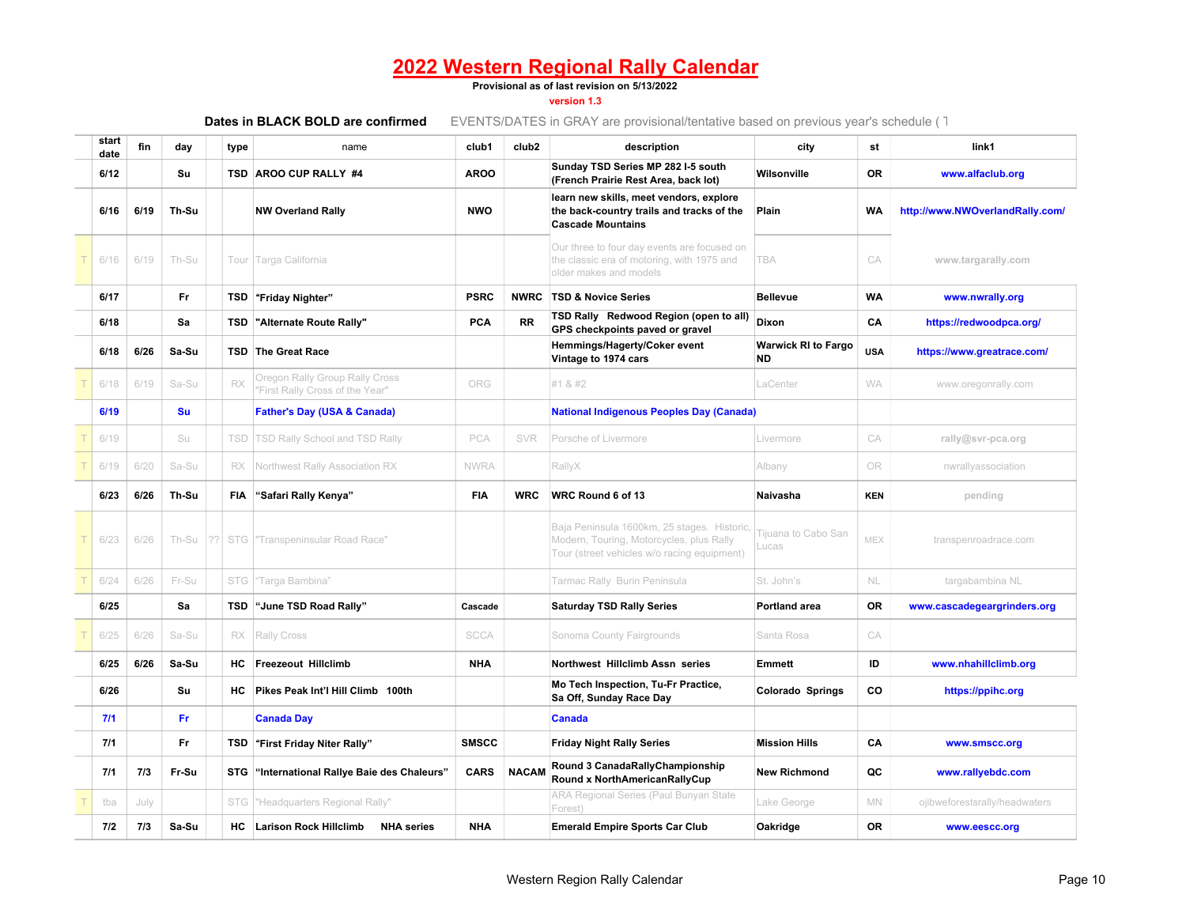#### **Provisional as of last revision on 5/13/2022**

### **version 1.3**

|               |      |           |    |      | Dates in BLACK BOLD are confirmed                                 |              |                   | EVENTS/DATES in GRAY are provisional/tentative based on previous year's schedule (1)                                                   |                                  |            |                                 |
|---------------|------|-----------|----|------|-------------------------------------------------------------------|--------------|-------------------|----------------------------------------------------------------------------------------------------------------------------------------|----------------------------------|------------|---------------------------------|
| start<br>date | fin  | day       |    | type | name                                                              | club1        | club <sub>2</sub> | description                                                                                                                            | city                             | st         | link1                           |
| 6/12          |      | Su        |    |      | TSD AROO CUP RALLY #4                                             | <b>AROO</b>  |                   | Sunday TSD Series MP 282 I-5 south<br>(French Prairie Rest Area, back lot)                                                             | Wilsonville                      | <b>OR</b>  | www.alfaclub.org                |
| 6/16          | 6/19 | Th-Su     |    |      | <b>NW Overland Rally</b>                                          | <b>NWO</b>   |                   | learn new skills, meet vendors, explore<br>the back-country trails and tracks of the<br><b>Cascade Mountains</b>                       | Plain                            | <b>WA</b>  | http://www.NWOverlandRally.com/ |
| 6/16          | 6/19 | Th-Su     |    |      | Tour Targa California                                             |              |                   | Our three to four day events are focused on<br>the classic era of motoring, with 1975 and<br>older makes and models                    | <b>TBA</b>                       | CA         | www.targarally.com              |
| 6/17          |      | Fr        |    |      | TSD "Friday Nighter"                                              | <b>PSRC</b>  | <b>NWRC</b>       | <b>TSD &amp; Novice Series</b>                                                                                                         | <b>Bellevue</b>                  | <b>WA</b>  | www.nwrally.org                 |
| 6/18          |      | Sa        |    | TSD  | "Alternate Route Rally"                                           | PCA          | <b>RR</b>         | TSD Rally Redwood Region (open to all)<br>GPS checkpoints paved or gravel                                                              | Dixon                            | CA         | https://redwoodpca.org/         |
| 6/18          | 6/26 | Sa-Su     |    |      | <b>TSD</b> The Great Race                                         |              |                   | Hemmings/Hagerty/Coker event<br>Vintage to 1974 cars                                                                                   | <b>Warwick RI to Fargo</b><br>ND | <b>USA</b> | https://www.greatrace.com/      |
| 6/18          | 6/19 | Sa-Su     |    | RX   | Oregon Rally Group Rally Cross<br>"First Rally Cross of the Year" | ORG          |                   | #1 & #2                                                                                                                                | LaCenter                         | <b>WA</b>  | www.oregonrally.com             |
| 6/19          |      | <b>Su</b> |    |      | <b>Father's Day (USA &amp; Canada)</b>                            |              |                   | <b>National Indigenous Peoples Day (Canada)</b>                                                                                        |                                  |            |                                 |
| 6/19          |      | Su        |    | TSD  | TSD Rally School and TSD Rally                                    | PCA          | SVR               | Porsche of Livermore                                                                                                                   | Livermore                        | СA         | rally@svr-pca.org               |
| 6/19          | 6/20 | Sa-Su     |    | RX   | Northwest Rally Association RX                                    | <b>NWRA</b>  |                   | RallyX                                                                                                                                 | Albany                           | 0R         | nwrallyassociation              |
| 6/23          | 6/26 | Th-Su     |    | FIA  | "Safari Rally Kenya"                                              | FIA          | <b>WRC</b>        | WRC Round 6 of 13                                                                                                                      | Naivasha                         | <b>KEN</b> | pending                         |
| 6/23          | 6/26 | Th-Su     | ?? |      | STG Transpeninsular Road Race"                                    |              |                   | Baja Peninsula 1600km, 25 stages. Historic,<br>Modern, Touring, Motorcycles, plus Rally<br>Tour (street vehicles w/o racing equipment) | Tijuana to Cabo San<br>Lucas     | MEX        | transpenroadrace.com            |
| 6/24          | 6/26 | Fr-Su     |    | STG  | "Targa Bambina"                                                   |              |                   | Tarmac Rally Burin Peninsula                                                                                                           | St. John's                       | NL.        | targabambina NL                 |
| 6/25          |      | Sa        |    | TSD  | "June TSD Road Rally"                                             | Cascade      |                   | <b>Saturday TSD Rally Series</b>                                                                                                       | <b>Portland area</b>             | <b>OR</b>  | www.cascadegeargrinders.org     |
| 6/25          | 6/26 | Sa-Su     |    | RX   | Rally Cross                                                       | <b>SCCA</b>  |                   | Sonoma County Fairgrounds                                                                                                              | Santa Rosa                       | CA         |                                 |
| 6/25          | 6/26 | Sa-Su     |    | HC   | <b>Freezeout Hillclimb</b>                                        | <b>NHA</b>   |                   | Northwest Hillclimb Assn series                                                                                                        | <b>Emmett</b>                    | ID         | www.nhahillclimb.org            |
| 6/26          |      | Su        |    | HС   | Pikes Peak Int'l Hill Climb 100th                                 |              |                   | Mo Tech Inspection, Tu-Fr Practice,<br>Sa Off, Sunday Race Day                                                                         | Colorado Springs                 | CO         | https://ppihc.org               |
| 7/1           |      | Fr.       |    |      | <b>Canada Day</b>                                                 |              |                   | <b>Canada</b>                                                                                                                          |                                  |            |                                 |
| 7/1           |      | Fr        |    |      | TSD "First Friday Niter Rally"                                    | <b>SMSCC</b> |                   | <b>Friday Night Rally Series</b>                                                                                                       | <b>Mission Hills</b>             | CA         | www.smscc.org                   |
| 7/1           | 7/3  | Fr-Su     |    | STG  | "International Rallye Baie des Chaleurs"                          | <b>CARS</b>  | <b>NACAM</b>      | Round 3 CanadaRallyChampionship<br>Round x NorthAmericanRallyCup                                                                       | <b>New Richmond</b>              | QC         | www.rallyebdc.com               |
| tba           | July |           |    | STG  | "Headquarters Regional Rally"                                     |              |                   | ARA Regional Series (Paul Bunyan State<br>Forest)                                                                                      | Lake George                      | MN         | ojibweforestsrally/headwaters   |
| 7/2           | 7/3  | Sa-Su     |    | HC   | <b>Larison Rock Hillclimb</b><br><b>NHA</b> series                | <b>NHA</b>   |                   | <b>Emerald Empire Sports Car Club</b>                                                                                                  | Oakridge                         | OR         | www.eescc.org                   |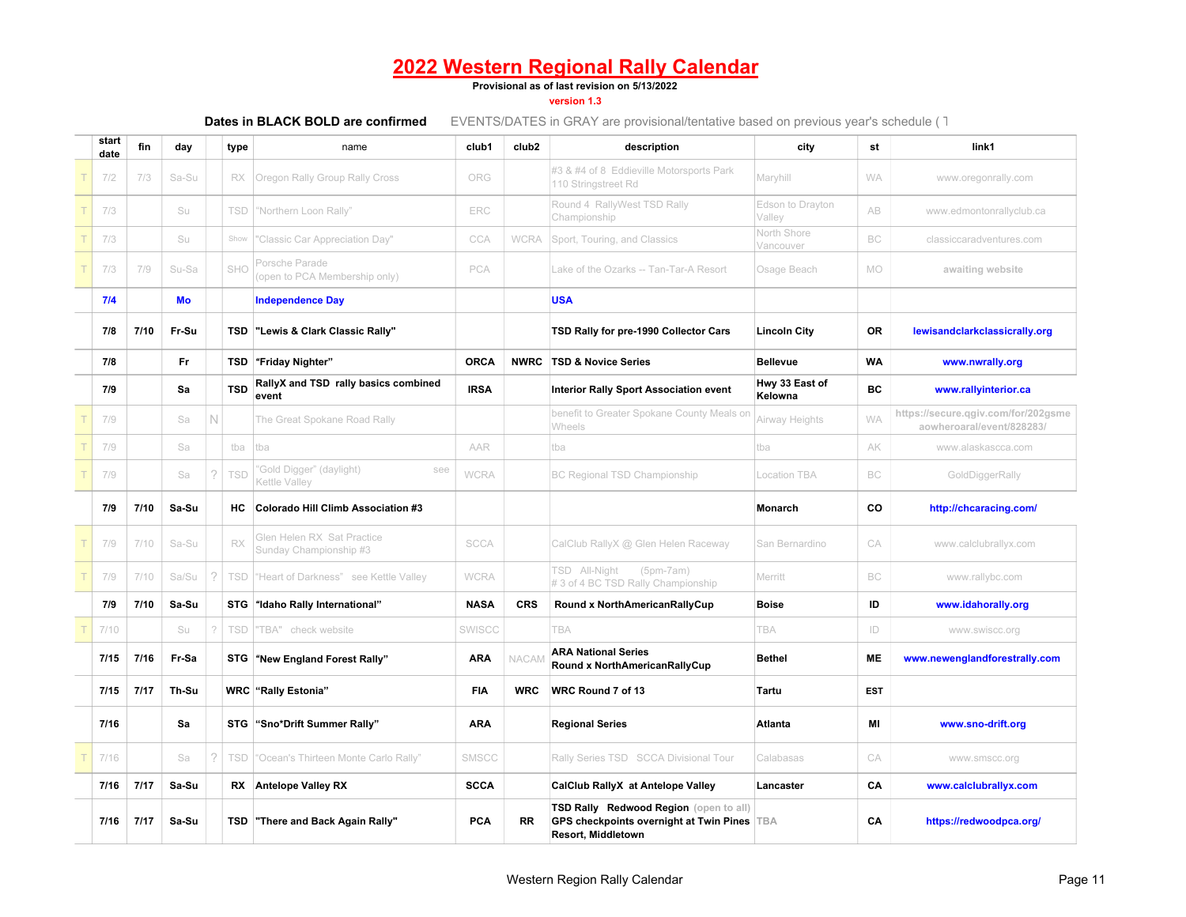**Provisional as of last revision on 5/13/2022**

**version 1.3**

| start<br>date | fin  | day   |          | type       | name                                                 | club1       | club <sub>2</sub> | description                                                                                                 | city                       | st         | link1                                                            |
|---------------|------|-------|----------|------------|------------------------------------------------------|-------------|-------------------|-------------------------------------------------------------------------------------------------------------|----------------------------|------------|------------------------------------------------------------------|
| 7/2           | 7/3  | Sa-Su |          | RX         | Oregon Rally Group Rally Cross                       | ORG         |                   | #3 & #4 of 8 Eddieville Motorsports Park<br>110 Stringstreet Rd                                             | Maryhill                   | <b>WA</b>  | www.oregonrally.com                                              |
| 7/3           |      | Su    |          | <b>TSD</b> | "Northern Loon Rally"                                | ERC         |                   | Round 4 RallyWest TSD Rally<br>Championship                                                                 | Edson to Drayton<br>Valley | AB         | www.edmontonrallyclub.ca                                         |
| 7/3           |      | Su    |          | Show       | 'Classic Car Appreciation Day"                       | CCA         | <b>WCRA</b>       | Sport, Touring, and Classics                                                                                | North Shore<br>Vancouver   | BC         | classiccaradventures.com                                         |
| 7/3           | 7/9  | Su-Sa |          | SHO        | Porsche Parade<br>(open to PCA Membership only)      | PCA         |                   | ake of the Ozarks -- Tan-Tar-A Resort                                                                       | Osage Beach                | <b>MO</b>  | awaiting website                                                 |
| 7/4           |      | Mo    |          |            | <b>Independence Day</b>                              |             |                   | <b>USA</b>                                                                                                  |                            |            |                                                                  |
| 7/8           | 7/10 | Fr-Su |          | TSD        | "Lewis & Clark Classic Rally"                        |             |                   | TSD Rally for pre-1990 Collector Cars                                                                       | <b>Lincoln City</b>        | OR.        | lewisandclarkclassicrally.org                                    |
| 7/8           |      | Fr.   |          | TSD        | "Friday Nighter"                                     | <b>ORCA</b> | <b>NWRC</b>       | <b>TSD &amp; Novice Series</b>                                                                              | <b>Bellevue</b>            | <b>WA</b>  | www.nwrally.org                                                  |
| 7/9           |      | Sa    |          | <b>TSD</b> | RallyX and TSD rally basics combined<br>event        | <b>IRSA</b> |                   | <b>Interior Rally Sport Association event</b>                                                               | Hwy 33 East of<br>Kelowna  | BC         | www.rallyinterior.ca                                             |
| 7/9           |      | Sa    | N        |            | The Great Spokane Road Rally                         |             |                   | benefit to Greater Spokane County Meals or<br>Wheels                                                        | Airway Heights             | <b>WA</b>  | https://secure.qgiv.com/for/202gsme<br>aowheroaral/event/828283/ |
| 7/9           |      | Sa    |          | tba        | tba                                                  | AAR         |                   | tba                                                                                                         | tba                        | AK         | www.alaskascca.com                                               |
| 7/9           |      | Sa    | $\gamma$ | <b>TSD</b> | 'Gold Digger" (daylight)<br>see<br>Kettle Valley     | <b>WCRA</b> |                   | <b>BC Regional TSD Championship</b>                                                                         | <b>Location TBA</b>        | BC         | GoldDiggerRally                                                  |
| 7/9           | 7/10 | Sa-Su |          | HC.        | <b>Colorado Hill Climb Association #3</b>            |             |                   |                                                                                                             | Monarch                    | CO         | http://chcaracing.com/                                           |
| 7/9           | 7/10 | Sa-Su |          | RX         | Glen Helen RX Sat Practice<br>Sunday Championship #3 | <b>SCCA</b> |                   | CalClub RallyX @ Glen Helen Raceway                                                                         | San Bernardino             | CA         | www.calclubrallyx.com                                            |
| 7/9           | 7/10 | Sa/Su | 2        | TSD        | "Heart of Darkness" see Kettle Valley                | <b>WCRA</b> |                   | TSD All-Night<br>$(5pm-7am)$<br># 3 of 4 BC TSD Rally Championship                                          | Merritt                    | BC         | www.rallybc.com                                                  |
| 7/9           | 7/10 | Sa-Su |          | STG        | "Idaho Rally International"                          | <b>NASA</b> | <b>CRS</b>        | Round x NorthAmericanRallyCup                                                                               | <b>Boise</b>               | ID         | www.idahorally.org                                               |
| 7/10          |      | Su    | 2        | <b>TSD</b> | 'TBA" check website                                  | SWISCC      |                   | TBA                                                                                                         | TBA                        | ID         | www.swiscc.org                                                   |
| 7/15          | 7/16 | Fr-Sa |          | STG        | "New England Forest Rally"                           | <b>ARA</b>  | NACAN             | <b>ARA National Series</b><br>Round x NorthAmericanRallyCup                                                 | <b>Bethel</b>              | ME         | www.newenglandforestrally.com                                    |
| 7/15          | 7/17 | Th-Su |          |            | <b>WRC</b> "Rally Estonia"                           | <b>FIA</b>  | <b>WRC</b>        | WRC Round 7 of 13                                                                                           | Tartu                      | <b>EST</b> |                                                                  |
| 7/16          |      | Sa    |          |            | STG "Sno*Drift Summer Rally"                         | <b>ARA</b>  |                   | <b>Regional Series</b>                                                                                      | Atlanta                    | MI         | www.sno-drift.org                                                |
| 7/16          |      | Sa    | $\gamma$ | <b>TSD</b> | "Ocean's Thirteen Monte Carlo Rally"                 | SMSCC       |                   | Rally Series TSD SCCA Divisional Tour                                                                       | Calabasas                  | CA         | www.smscc.org                                                    |
| 7/16          | 7/17 | Sa-Su |          | RX         | <b>Antelope Valley RX</b>                            | <b>SCCA</b> |                   | CalClub RallyX at Antelope Valley                                                                           | Lancaster                  | CA         | www.calclubrallyx.com                                            |
| 7/16          | 7/17 | Sa-Su |          | TSD        | "There and Back Again Rally"                         | PCA         | <b>RR</b>         | TSD Rally Redwood Region (open to all)<br>GPS checkpoints overnight at Twin Pines TBA<br>Resort, Middletown |                            | CA         | https://redwoodpca.org/                                          |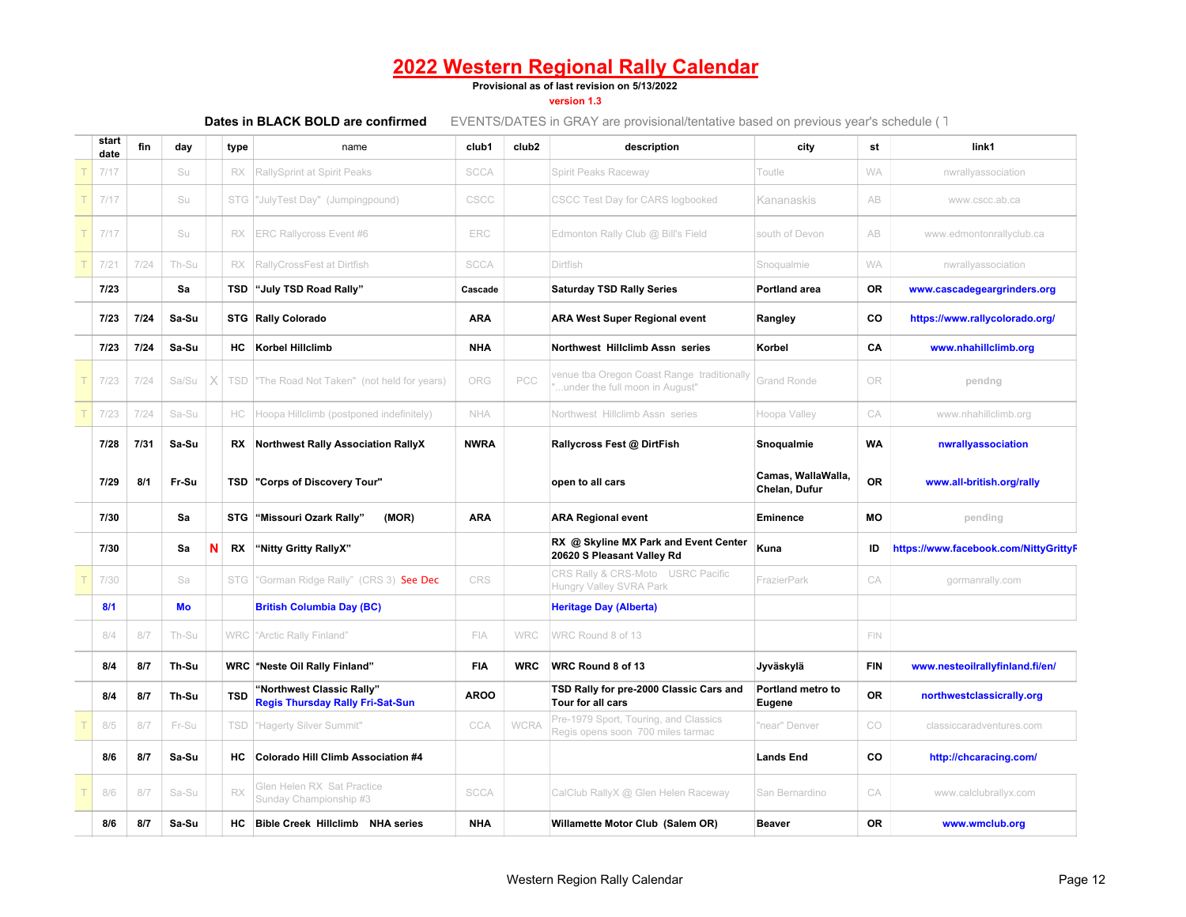**Provisional as of last revision on 5/13/2022**

**version 1.3**

| start<br>date | fin  | day   |   | type       | name                                                                 | club1       | club <sub>2</sub> | description                                                                  | city                                | st         | link1                                 |
|---------------|------|-------|---|------------|----------------------------------------------------------------------|-------------|-------------------|------------------------------------------------------------------------------|-------------------------------------|------------|---------------------------------------|
| 7/17          |      | Su    |   | RX         | RallySprint at Spirit Peaks                                          | <b>SCCA</b> |                   | Spirit Peaks Raceway                                                         | Toutle                              | <b>WA</b>  | nwrallyassociation                    |
| 7/17          |      | Su    |   |            | STG  "JulyTest Day" (Jumpingpound)                                   | CSCC        |                   | <b>CSCC Test Day for CARS logbooked</b>                                      | Kananaskis                          | AB         | www.cscc.ab.ca                        |
| 7/17          |      | Su    |   | RX         | <b>ERC Rallycross Event #6</b>                                       | ERC         |                   | Edmonton Rally Club @ Bill's Field                                           | south of Devon                      | AB         | www.edmontonrallyclub.ca              |
| 7/21          | 7/24 | Th-Su |   | <b>RX</b>  | RallyCrossFest at Dirtfish                                           | <b>SCCA</b> |                   | Dirtfish                                                                     | Snoqualmie                          | <b>WA</b>  | nwrallyassociation                    |
| 7/23          |      | Sa    |   | TSD        | "July TSD Road Rally"                                                | Cascade     |                   | <b>Saturday TSD Rally Series</b>                                             | Portland area                       | 0R         | www.cascadegeargrinders.org           |
| 7/23          | 7/24 | Sa-Su |   |            | <b>STG Rally Colorado</b>                                            | <b>ARA</b>  |                   | <b>ARA West Super Regional event</b>                                         | Rangley                             | CO         | https://www.rallycolorado.org/        |
| 7/23          | 7/24 | Sa-Su |   | НC         | <b>Korbel Hillclimb</b>                                              | <b>NHA</b>  |                   | Northwest Hillclimb Assn series                                              | Korbel                              | CA         | www.nhahillclimb.org                  |
| 7/23          | 7/24 | Sa/Su |   | TSD        | "The Road Not Taken" (not held for years)                            | ORG         | PCC               | venue tba Oregon Coast Range traditionally<br>under the full moon in August" | <b>Grand Ronde</b>                  | OR         | pendng                                |
| 7/23          | 7/24 | Sa-Su |   | HC         | Hoopa Hillclimb (postponed indefinitely)                             | NHA         |                   | Northwest Hillclimb Assn series                                              | Hoopa Valley                        | CA         | www.nhahillclimb.org                  |
| 7/28          | 7/31 | Sa-Su |   |            | RX Northwest Rally Association RallyX                                | <b>NWRA</b> |                   | Rallycross Fest @ DirtFish                                                   | Snoqualmie                          | <b>WA</b>  | nwrallyassociation                    |
| 7/29          | 8/1  | Fr-Su |   |            | <b>TSD "Corps of Discovery Tour"</b>                                 |             |                   | open to all cars                                                             | Camas, WallaWalla,<br>Chelan, Dufur | <b>OR</b>  | www.all-british.org/rally             |
| 7/30          |      | Sa    |   |            | STG "Missouri Ozark Rally"<br>(MOR)                                  | <b>ARA</b>  |                   | <b>ARA Regional event</b>                                                    | <b>Eminence</b>                     | <b>MO</b>  | pending                               |
| 7/30          |      | Sa    | N | <b>RX</b>  | "Nitty Gritty RallyX"                                                |             |                   | RX @ Skyline MX Park and Event Center<br>20620 S Pleasant Valley Rd          | Kuna                                | ID         | https://www.facebook.com/NittyGrittyF |
| 7/30          |      | Sa    |   | <b>STG</b> | "Gorman Ridge Rally" (CRS 3) See Dec                                 | CRS         |                   | CRS Rally & CRS-Moto USRC Pacific<br>Hungry Valley SVRA Park                 | FrazierPark                         | CA         | gormanrally.com                       |
| 8/1           |      | Mo    |   |            | <b>British Columbia Day (BC)</b>                                     |             |                   | <b>Heritage Day (Alberta)</b>                                                |                                     |            |                                       |
| 8/4           | 8/7  | Th-Su |   |            | WRC "Arctic Rally Finland"                                           | FIA         | <b>WRC</b>        | WRC Round 8 of 13                                                            |                                     | <b>FIN</b> |                                       |
| 8/4           | 8/7  | Th-Su |   |            | <b>WRC</b> "Neste Oil Rally Finland"                                 | <b>FIA</b>  | <b>WRC</b>        | WRC Round 8 of 13                                                            | Jyväskylä                           | <b>FIN</b> | www.nesteoilrallyfinland.fi/en/       |
| 8/4           | 8/7  | Th-Su |   | <b>TSD</b> | "Northwest Classic Rally"<br><b>Regis Thursday Rally Fri-Sat-Sun</b> | <b>AROO</b> |                   | TSD Rally for pre-2000 Classic Cars and<br>Tour for all cars                 | Portland metro to<br>Eugene         | <b>OR</b>  | northwestclassicrally.org             |
| 8/5           | 8/7  | Fr-Su |   | TSD        | "Hagerty Silver Summit"                                              | CCA         | <b>WCRA</b>       | Pre-1979 Sport, Touring, and Classics<br>Regis opens soon 700 miles tarmac   | "near" Denver                       | CO         | classiccaradventures.com              |
| 8/6           | 8/7  | Sa-Su |   | HС         | <b>Colorado Hill Climb Association #4</b>                            |             |                   |                                                                              | <b>Lands End</b>                    | CO         | http://chcaracing.com/                |
| 8/6           | 8/7  | Sa-Su |   | RX         | Glen Helen RX Sat Practice<br>Sunday Championship #3                 | <b>SCCA</b> |                   | CalClub RallyX @ Glen Helen Raceway                                          | San Bernardino                      | CA         | www.calclubrallyx.com                 |
| 8/6           | 8/7  | Sa-Su |   | НC         | <b>Bible Creek Hillclimb NHA series</b>                              | <b>NHA</b>  |                   | Willamette Motor Club (Salem OR)                                             | <b>Beaver</b>                       | <b>OR</b>  | www.wmclub.org                        |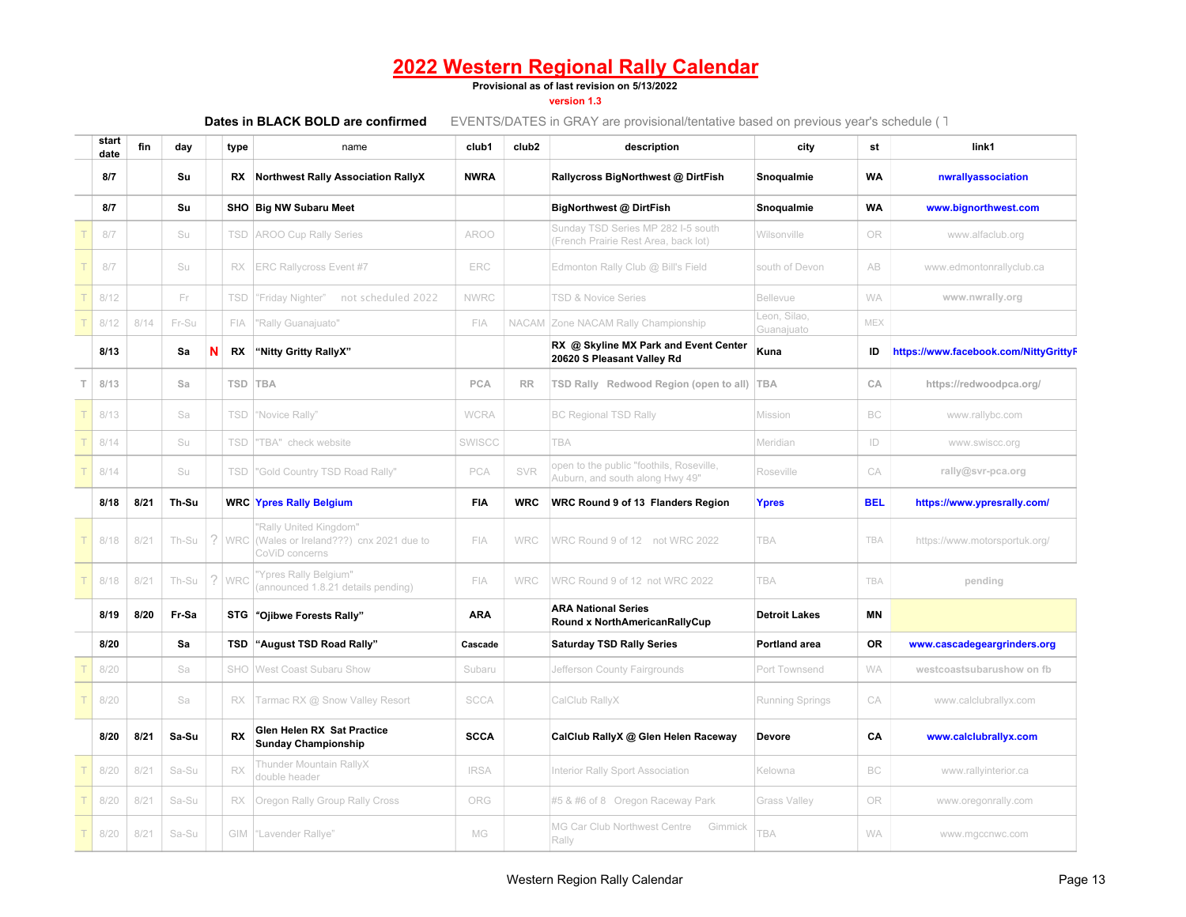#### **Provisional as of last revision on 5/13/2022**

#### **version 1.3**

| start<br>date | fin  | day   |   | type       | name                                                                                  | club1         | club <sub>2</sub> | description                                                                 | city                       | st         | link1                                 |
|---------------|------|-------|---|------------|---------------------------------------------------------------------------------------|---------------|-------------------|-----------------------------------------------------------------------------|----------------------------|------------|---------------------------------------|
| 8/7           |      | Su    |   | RX         | <b>Northwest Rally Association RallyX</b>                                             | <b>NWRA</b>   |                   | Rallycross BigNorthwest @ DirtFish                                          | Snoqualmie                 | <b>WA</b>  | nwrallyassociation                    |
| 8/7           |      | Su    |   |            | SHO Big NW Subaru Meet                                                                |               |                   | BigNorthwest @ DirtFish                                                     | Snoqualmie                 | <b>WA</b>  | www.bignorthwest.com                  |
| 8/7           |      | Su    |   | TSD        | <b>AROO Cup Rally Series</b>                                                          | <b>AROO</b>   |                   | Sunday TSD Series MP 282 I-5 south<br>(French Prairie Rest Area, back lot)  | Wilsonville                | <b>OR</b>  | www.alfaclub.org                      |
| 8/7           |      | Su    |   | RX         | <b>ERC Rallycross Event #7</b>                                                        | ERC           |                   | Edmonton Rally Club @ Bill's Field                                          | south of Devon             | <b>AB</b>  | www.edmontonrallyclub.ca              |
| 8/12          |      | Fr    |   | <b>TSD</b> | "Friday Nighter" not scheduled 2022                                                   | <b>NWRC</b>   |                   | <b>TSD &amp; Novice Series</b>                                              | Bellevue                   | <b>WA</b>  | www.nwrally.org                       |
| 8/12          | 8/14 | Fr-Su |   | FIA        | "Rally Guanajuato"                                                                    | <b>FIA</b>    |                   | NACAM Zone NACAM Rally Championship                                         | Leon. Silao.<br>Guanajuato | <b>MEX</b> |                                       |
| 8/13          |      | Sa    | N | RX         | "Nitty Gritty RallyX"                                                                 |               |                   | RX @ Skyline MX Park and Event Center<br>20620 S Pleasant Valley Rd         | Kuna                       | ID         | https://www.facebook.com/NittyGrittyF |
| 8/13          |      | Sa    |   | <b>TSD</b> | <b>TBA</b>                                                                            | PCA           | <b>RR</b>         | TSD Rally Redwood Region (open to all)                                      | <b>TBA</b>                 | CA         | https://redwoodpca.org/               |
| 8/13          |      | Sa    |   | TSD        | "Novice Rally"                                                                        | <b>WCRA</b>   |                   | <b>BC Regional TSD Rally</b>                                                | Mission                    | BC         | www.rallybc.com                       |
| 8/14          |      | Su    |   | TSD        | "TBA" check website                                                                   | <b>SWISCC</b> |                   | <b>TBA</b>                                                                  | Meridian                   | ID         | www.swiscc.org                        |
| 8/14          |      | Su    |   | TSD        | "Gold Country TSD Road Rally"                                                         | <b>PCA</b>    | SVR               | open to the public "foothils, Roseville,<br>Auburn, and south along Hwy 49" | Roseville                  | CA         | rally@svr-pca.org                     |
| 8/18          | 8/21 | Th-Su |   |            | <b>WRC Ypres Rally Belgium</b>                                                        | FIA           | <b>WRC</b>        | WRC Round 9 of 13 Flanders Region                                           | Ypres                      | <b>BEL</b> | https://www.ypresrally.com/           |
| 8/18          | 8/21 | Th-Su |   |            | "Rally United Kingdom"<br>WRC (Wales or Ireland???) cnx 2021 due to<br>CoViD concerns | FIA           | <b>WRC</b>        | WRC Round 9 of 12 not WRC 2022                                              | TBA                        | TBA        | https://www.motorsportuk.org/         |
| 8/18          | 8/21 | Th-Su | ? | WRC        | "Ypres Rally Belgium"<br>(announced 1.8.21 details pending)                           | FIA           | <b>WRC</b>        | WRC Round 9 of 12 not WRC 2022                                              | <b>TBA</b>                 | TBA        | pending                               |
| 8/19          | 8/20 | Fr-Sa |   |            | STG "Ojibwe Forests Rally"                                                            | <b>ARA</b>    |                   | <b>ARA National Series</b><br>Round x NorthAmericanRallyCup                 | <b>Detroit Lakes</b>       | <b>MN</b>  |                                       |
| 8/20          |      | Sa    |   | TSD        | "August TSD Road Rally"                                                               | Cascade       |                   | <b>Saturday TSD Rally Series</b>                                            | <b>Portland area</b>       | <b>OR</b>  | www.cascadegeargrinders.org           |
| 8/20          |      | Sa    |   | SHO        | West Coast Subaru Show                                                                | Subaru        |                   | Jefferson County Fairgrounds                                                | Port Townsend              | <b>WA</b>  | westcoastsubarushow on fb             |
| 8/20          |      | Sa    |   | RX.        | Tarmac RX @ Snow Valley Resort                                                        | <b>SCCA</b>   |                   | CalClub RallyX                                                              | Running Springs            | CA         | www.calclubrallyx.com                 |
| 8/20          | 8/21 | Sa-Su |   | <b>RX</b>  | Glen Helen RX Sat Practice<br><b>Sunday Championship</b>                              | <b>SCCA</b>   |                   | CalClub RallyX @ Glen Helen Raceway                                         | Devore                     | CA         | www.calclubrallyx.com                 |
| 8/20          | 8/21 | Sa-Su |   | RX         | Thunder Mountain RallyX<br>double header                                              | <b>IRSA</b>   |                   | Interior Rally Sport Association                                            | Kelowna                    | BC         | www.rallyinterior.ca                  |
| 8/20          | 8/21 | Sa-Su |   | RX         | Oregon Rally Group Rally Cross                                                        | ORG           |                   | #5 & #6 of 8 Oregon Raceway Park                                            | Grass Valley               | OR         | www.oregonrally.com                   |
| 8/20          | 8/21 | Sa-Su |   |            | GIM "Lavender Rallye"                                                                 | MG            |                   | MG Car Club Northwest Centre<br>Gimmick<br>Rally                            | TBA                        | <b>WA</b>  | www.mgccnwc.com                       |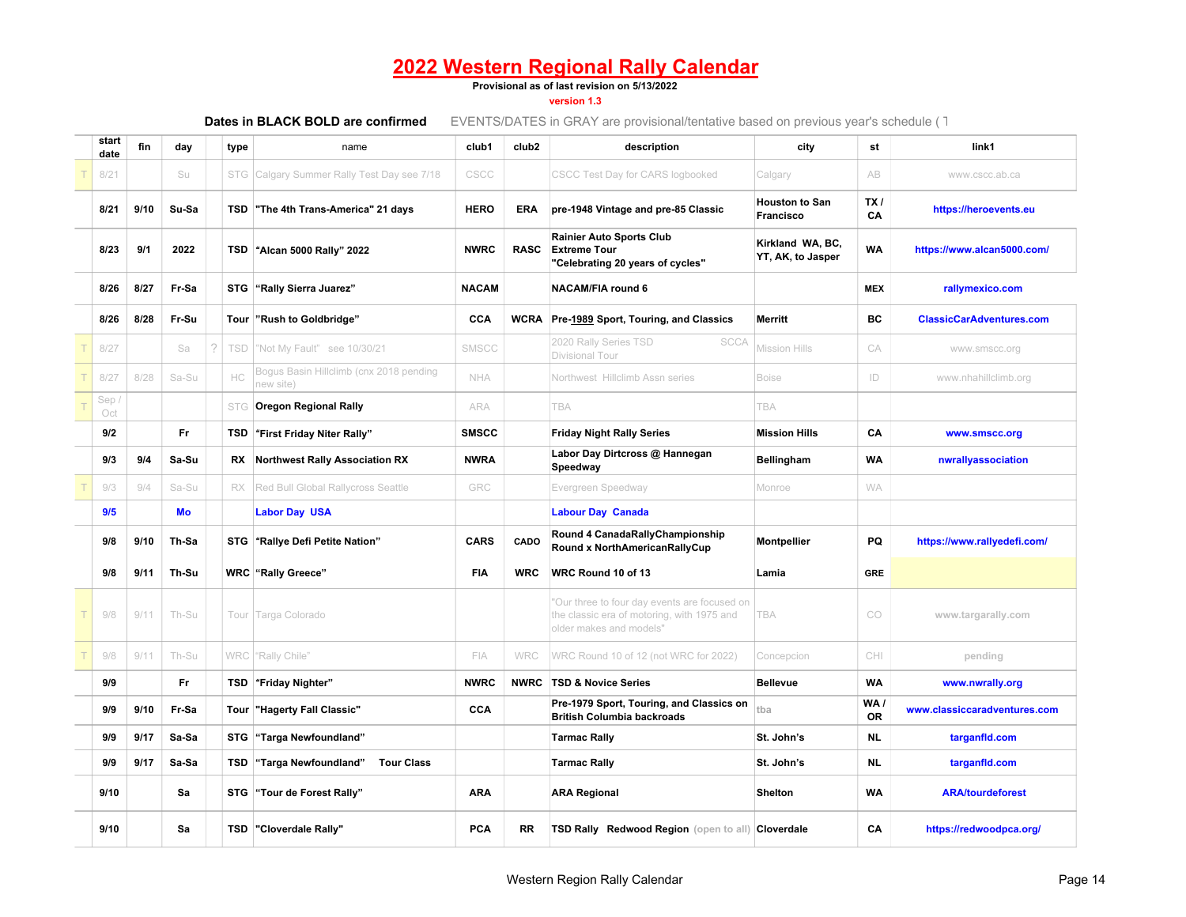**Provisional as of last revision on 5/13/2022**

**version 1.3**

| start<br>date | fin  | day   | type       | name                                                 | club1        | club <sub>2</sub> | description                                                                                                          | city                                  | st                    | link1                           |
|---------------|------|-------|------------|------------------------------------------------------|--------------|-------------------|----------------------------------------------------------------------------------------------------------------------|---------------------------------------|-----------------------|---------------------------------|
| 8/21          |      | Su    | STG        | Calgary Summer Rally Test Day see 7/18               | CSCC         |                   | CSCC Test Day for CARS logbooked                                                                                     | Calgary                               | AB                    | www.cscc.ab.ca                  |
| 8/21          | 9/10 | Su-Sa |            | TSD The 4th Trans-America" 21 days                   | <b>HERO</b>  | <b>ERA</b>        | pre-1948 Vintage and pre-85 Classic                                                                                  | <b>Houston to San</b><br>Francisco    | TX <sub>I</sub><br>CA | https://heroevents.eu           |
| 8/23          | 9/1  | 2022  |            | TSD "Alcan 5000 Rally" 2022                          | <b>NWRC</b>  | <b>RASC</b>       | <b>Rainier Auto Sports Club</b><br><b>Extreme Tour</b><br>"Celebrating 20 years of cycles"                           | Kirkland WA, BC,<br>YT, AK, to Jasper | <b>WA</b>             | https://www.alcan5000.com/      |
| 8/26          | 8/27 | Fr-Sa |            | STG "Rally Sierra Juarez"                            | <b>NACAM</b> |                   | <b>NACAM/FIA round 6</b>                                                                                             |                                       | <b>MEX</b>            | rallymexico.com                 |
| 8/26          | 8/28 | Fr-Su |            | Tour "Rush to Goldbridge"                            | CCA          |                   | WCRA Pre-1989 Sport, Touring, and Classics                                                                           | <b>Merritt</b>                        | <b>BC</b>             | <b>ClassicCarAdventures.com</b> |
| 8/27          |      | Sa    | 2<br>TSD   | "Not My Fault" see 10/30/21                          | SMSCC        |                   | 2020 Rally Series TSD<br><b>SCCA</b><br>Divisional Tour                                                              | <b>Mission Hills</b>                  | CA                    | www.smscc.org                   |
| 8/27          | 8/28 | Sa-Su | HC         | Bogus Basin Hillclimb (cnx 2018 pending<br>new site) | NHA          |                   | Northwest Hillclimb Assn series                                                                                      | <b>Boise</b>                          | ID                    | www.nhahillclimb.org            |
| Sep/<br>Oct   |      |       | <b>STG</b> | <b>Oregon Regional Rally</b>                         | ARA          |                   | <b>TBA</b>                                                                                                           | <b>TBA</b>                            |                       |                                 |
| 9/2           |      | Fr.   | TSD        | "First Friday Niter Rally"                           | <b>SMSCC</b> |                   | <b>Friday Night Rally Series</b>                                                                                     | <b>Mission Hills</b>                  | CA                    | www.smscc.org                   |
| 9/3           | 9/4  | Sa-Su | RX         | <b>Northwest Rally Association RX</b>                | <b>NWRA</b>  |                   | Labor Day Dirtcross @ Hannegan<br>Speedway                                                                           | <b>Bellingham</b>                     | <b>WA</b>             | nwrallyassociation              |
| 9/3           | 9/4  | Sa-Su | RX         | Red Bull Global Rallycross Seattle                   | GRC          |                   | Evergreen Speedway                                                                                                   | Monroe                                | <b>WA</b>             |                                 |
| 9/5           |      | Mo    |            | <b>Labor Day USA</b>                                 |              |                   | <b>Labour Day Canada</b>                                                                                             |                                       |                       |                                 |
| 9/8           | 9/10 | Th-Sa |            | STG "Rallye Defi Petite Nation"                      | <b>CARS</b>  | CADO              | Round 4 CanadaRallyChampionship<br>Round x NorthAmericanRallyCup                                                     | <b>Montpellier</b>                    | PQ                    | https://www.rallyedefi.com/     |
| 9/8           | 9/11 | Th-Su |            | <b>WRC</b> "Rally Greece"                            | <b>FIA</b>   | <b>WRC</b>        | WRC Round 10 of 13                                                                                                   | Lamia                                 | <b>GRE</b>            |                                 |
| 9/8           | 9/11 | Th-Su |            | Tour Targa Colorado                                  |              |                   | Our three to four day events are focused on<br>the classic era of motoring, with 1975 and<br>older makes and models' | TBA                                   | CO                    | www.targarally.com              |
| 9/8           | 9/11 | Th-Su |            | WRC "Rally Chile"                                    | FIA          | WRC               | WRC Round 10 of 12 (not WRC for 2022)                                                                                | Concepcion                            | CHI                   | pending                         |
| 9/9           |      | Fr    | TSD        | "Friday Nighter"                                     | <b>NWRC</b>  | <b>NWRC</b>       | <b>TSD &amp; Novice Series</b>                                                                                       | <b>Bellevue</b>                       | <b>WA</b>             | www.nwrally.org                 |
| 9/9           | 9/10 | Fr-Sa | Tour       | "Hagerty Fall Classic"                               | CCA          |                   | Pre-1979 Sport, Touring, and Classics on<br><b>British Columbia backroads</b>                                        | tba                                   | WA/<br><b>OR</b>      | www.classiccaradventures.com    |
| 9/9           | 9/17 | Sa-Sa |            | STG "Targa Newfoundland"                             |              |                   | <b>Tarmac Rally</b>                                                                                                  | St. John's                            | <b>NL</b>             | targanfld.com                   |
| 9/9           | 9/17 | Sa-Sa | TSD        | "Targa Newfoundland"<br><b>Tour Class</b>            |              |                   | <b>Tarmac Rally</b>                                                                                                  | St. John's                            | <b>NL</b>             | targanfid.com                   |
| 9/10          |      | Sa    |            | STG "Tour de Forest Rally"                           | <b>ARA</b>   |                   | <b>ARA Regional</b>                                                                                                  | <b>Shelton</b>                        | <b>WA</b>             | <b>ARA/tourdeforest</b>         |
| 9/10          |      | Sa    |            | <b>TSD</b> "Cloverdale Rally"                        | <b>PCA</b>   | RR                | TSD Rally Redwood Region (open to all) Cloverdale                                                                    |                                       | CА                    | https://redwoodpca.org/         |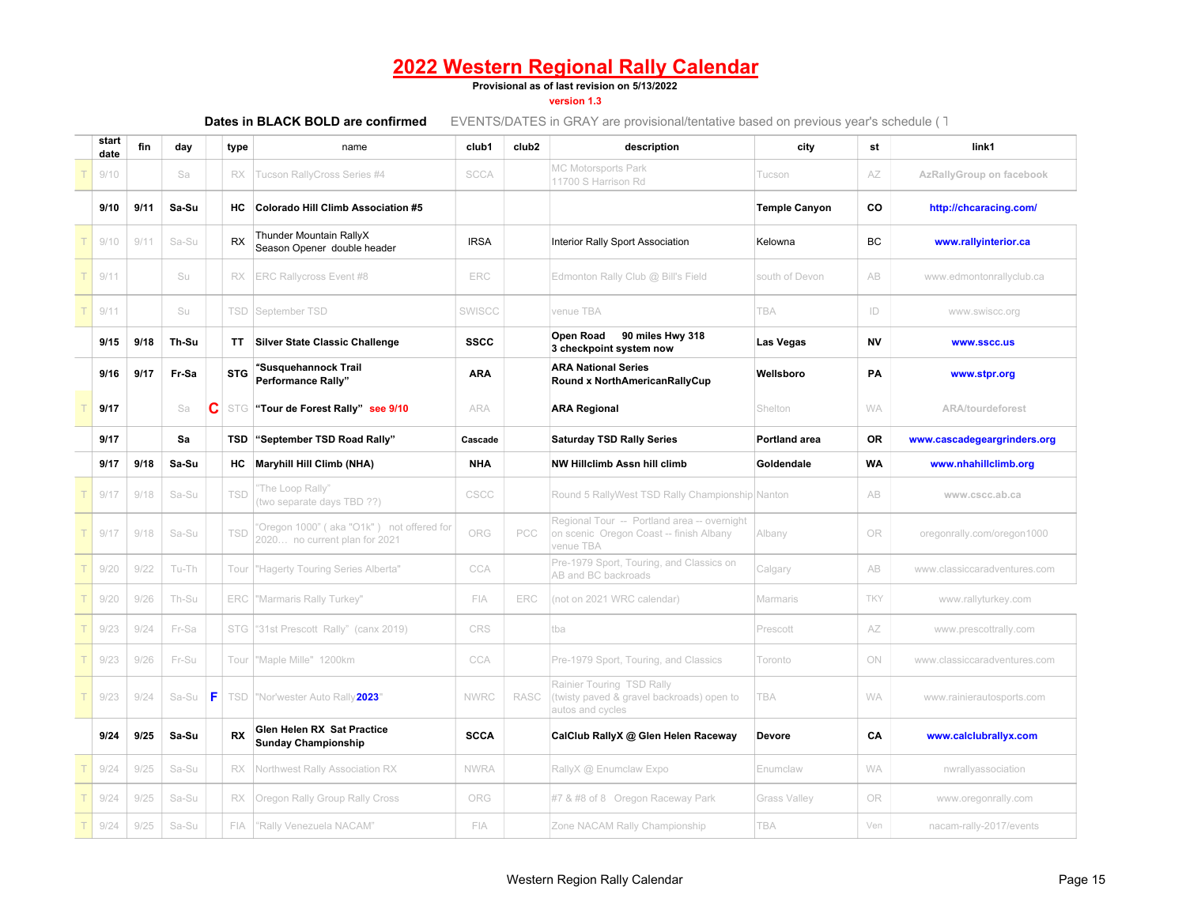**Provisional as of last revision on 5/13/2022**

**version 1.3**

| start<br>date | fin  | day   |    | type       | name                                                                       | club1       | club <sub>2</sub> | description                                                                                         | city                 | st        | link1                        |
|---------------|------|-------|----|------------|----------------------------------------------------------------------------|-------------|-------------------|-----------------------------------------------------------------------------------------------------|----------------------|-----------|------------------------------|
| 9/10          |      | Sa    |    | RX         | Tucson RallyCross Series #4                                                | <b>SCCA</b> |                   | <b>MC Motorsports Park</b><br>11700 S Harrison Rd                                                   | Tucson               | AZ        | AzRallyGroup on facebook     |
| 9/10          | 9/11 | Sa-Su |    | нc         | Colorado Hill Climb Association #5                                         |             |                   |                                                                                                     | <b>Temple Canyon</b> | CO        | http://chcaracing.com/       |
| 9/10          | 9/11 | Sa-Su |    | <b>RX</b>  | Thunder Mountain RallyX<br>Season Opener double header                     | <b>IRSA</b> |                   | Interior Rally Sport Association                                                                    | Kelowna              | <b>BC</b> | www.rallyinterior.ca         |
| 9/11          |      | Su    |    | <b>RX</b>  | <b>ERC Rallycross Event #8</b>                                             | ERC         |                   | Edmonton Rally Club @ Bill's Field                                                                  | south of Devon       | AB        | www.edmontonrallyclub.ca     |
| 9/11          |      | Su    |    |            | <b>TSD</b> September TSD                                                   | SWISCC      |                   | venue TBA                                                                                           | <b>TBA</b>           | ID        | www.swiscc.org               |
| 9/15          | 9/18 | Th-Su |    | TT.        | <b>Silver State Classic Challenge</b>                                      | <b>SSCC</b> |                   | <b>Open Road</b><br>90 miles Hwy 318<br>3 checkpoint system now                                     | Las Vegas            | <b>NV</b> | <b>WWW.SSCC.US</b>           |
| 9/16          | 9/17 | Fr-Sa |    | <b>STG</b> | <b>Susquehannock Trail</b><br>Performance Rally"                           | <b>ARA</b>  |                   | <b>ARA National Series</b><br>Round x NorthAmericanRallyCup                                         | Wellsboro            | PA        | www.stpr.org                 |
| 9/17          |      | Sa    | C  |            | STG "Tour de Forest Rally" see 9/10                                        | ARA         |                   | <b>ARA Regional</b>                                                                                 | Shelton              | WA        | <b>ARA/tourdeforest</b>      |
| 9/17          |      | Sa    |    |            | TSD "September TSD Road Rally"                                             | Cascade     |                   | <b>Saturday TSD Rally Series</b>                                                                    | <b>Portland area</b> | <b>OR</b> | www.cascadegeargrinders.org  |
| 9/17          | 9/18 | Sa-Su |    | HC         | <b>Maryhill Hill Climb (NHA)</b>                                           | <b>NHA</b>  |                   | NW Hillclimb Assn hill climb                                                                        | Goldendale           | <b>WA</b> | www.nhahillclimb.org         |
| 9/17          | 9/18 | Sa-Su |    | TSD        | 'The Loop Rally"<br>(two separate days TBD ??)                             | CSCC        |                   | Round 5 RallyWest TSD Rally Championship Nanton                                                     |                      | AB        | www.cscc.ab.ca               |
| 9/17          | 9/18 | Sa-Su |    | TSD        | 'Oregon 1000" (aka "O1k") not offered for<br>2020 no current plan for 2021 | ORG         | PCC               | Regional Tour -- Portland area -- overnight<br>on scenic Oregon Coast -- finish Albany<br>venue TBA | Albany               | OR        | oregonrally.com/oregon1000   |
| 9/20          | 9/22 | Tu-Th |    | Tour       | "Hagerty Touring Series Alberta"                                           | CCA         |                   | Pre-1979 Sport, Touring, and Classics on<br>AB and BC backroads                                     | Calgary              | AB        | www.classiccaradventures.com |
| 9/20          | 9/26 | Th-Su |    | ERC        | "Marmaris Rally Turkey"                                                    | FIA         | ERC               | (not on 2021 WRC calendar)                                                                          | Marmaris             | TKY       | www.rallyturkey.com          |
| 9/23          | 9/24 | Fr-Sa |    | STG        | "31st Prescott Rally" (canx 2019)                                          | CRS         |                   | tba                                                                                                 | Prescott             | AZ        | www.prescottrally.com        |
| 9/23          | 9/26 | Fr-Su |    | Tour       | "Maple Mille" 1200km                                                       | CCA         |                   | Pre-1979 Sport, Touring, and Classics                                                               | Toronto              | ON        | www.classiccaradventures.com |
| 9/23          | 9/24 | Sa-Su | F. |            | TSD   "Nor'wester Auto Rally 2023"                                         | <b>NWRC</b> | <b>RASC</b>       | Rainier Touring TSD Rally<br>(twisty paved & gravel backroads) open to<br>autos and cycles          | <b>TBA</b>           | WA        | www.rainierautosports.com    |
| 9/24          | 9/25 | Sa-Su |    | RX         | Glen Helen RX Sat Practice<br><b>Sunday Championship</b>                   | <b>SCCA</b> |                   | CalClub RallyX @ Glen Helen Raceway                                                                 | Devore               | CA        | www.calclubrallyx.com        |
| 9/24          | 9/25 | Sa-Su |    | RX.        | Northwest Rally Association RX                                             | <b>NWRA</b> |                   | RallyX @ Enumclaw Expo                                                                              | Enumclaw             | <b>WA</b> | nwrallyassociation           |
| 9/24          | 9/25 | Sa-Su |    | RX         | Oregon Rally Group Rally Cross                                             | ORG         |                   | #7 & #8 of 8 Oregon Raceway Park                                                                    | Grass Valley         | OR        | www.oregonrally.com          |
| 9/24          | 9/25 | Sa-Su |    | FIA        | "Rally Venezuela NACAM"                                                    | FIA         |                   | Zone NACAM Rally Championship                                                                       | TBA                  | Ven       | nacam-rally-2017/events      |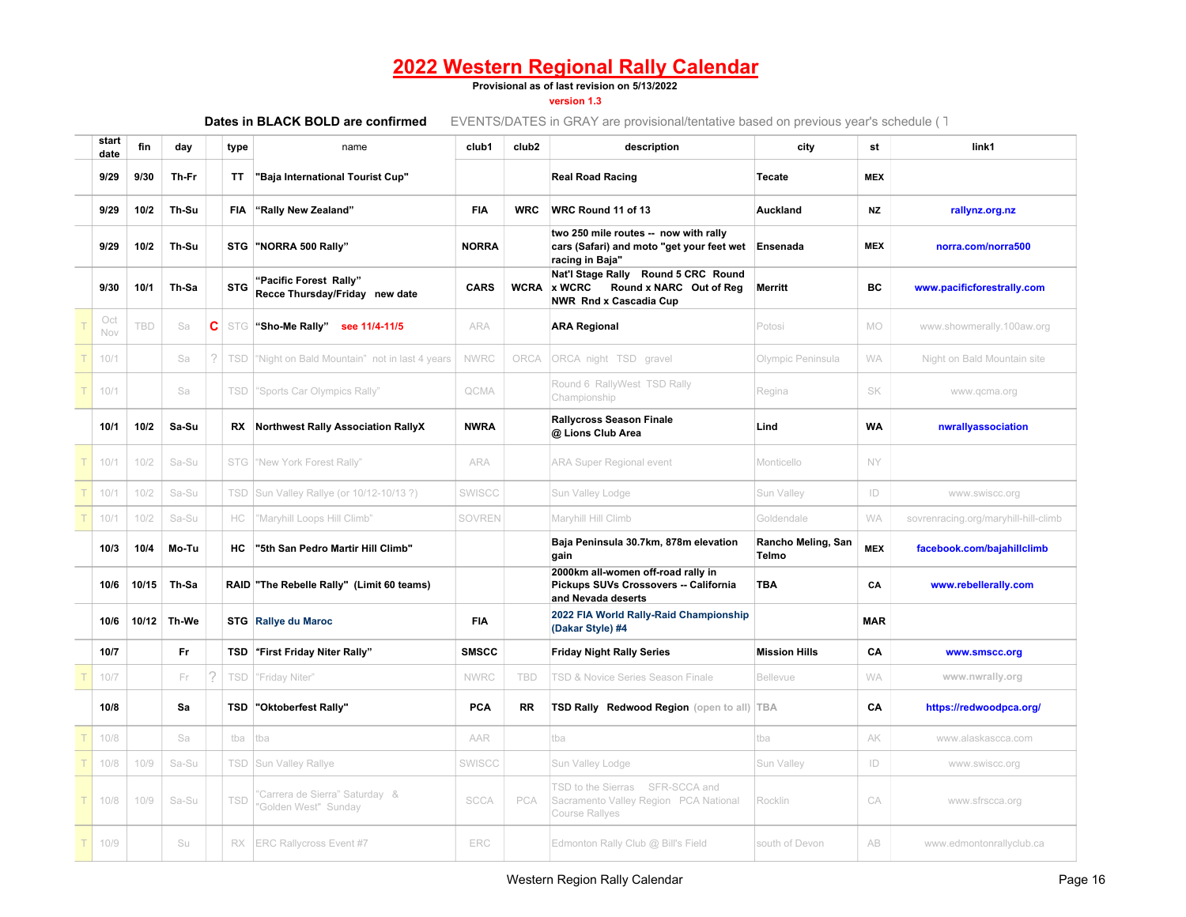**Provisional as of last revision on 5/13/2022**

**version 1.3**

| start<br>date | fin        | day   |   | type       | name                                                     | club1        | club <sub>2</sub> | description                                                                                                      | city                        | st         | link1                                |
|---------------|------------|-------|---|------------|----------------------------------------------------------|--------------|-------------------|------------------------------------------------------------------------------------------------------------------|-----------------------------|------------|--------------------------------------|
| 9/29          | 9/30       | Th-Fr |   | ΤT         | "Baja International Tourist Cup"                         |              |                   | <b>Real Road Racing</b>                                                                                          | Tecate                      | <b>MEX</b> |                                      |
| 9/29          | 10/2       | Th-Su |   | <b>FIA</b> | "Rally New Zealand"                                      | <b>FIA</b>   | <b>WRC</b>        | WRC Round 11 of 13                                                                                               | Auckland                    | <b>NZ</b>  | rallynz.org.nz                       |
| 9/29          | 10/2       | Th-Su |   |            | STG "NORRA 500 Rally"                                    | <b>NORRA</b> |                   | two 250 mile routes -- now with rally<br>cars (Safari) and moto "get your feet wet Ensenada<br>racing in Baja"   |                             | <b>MEX</b> | norra.com/norra500                   |
| 9/30          | 10/1       | Th-Sa |   | <b>STG</b> | "Pacific Forest Rally"<br>Recce Thursday/Friday new date | <b>CARS</b>  | <b>WCRA</b>       | Nat'l Stage Rally Round 5 CRC Round<br><b>x WCRC</b><br>Round x NARC Out of Reg<br><b>NWR Rnd x Cascadia Cup</b> | <b>Merritt</b>              | BC         | www.pacificforestrally.com           |
| Oct<br>Nov    | <b>TBD</b> | Sa    | C |            | STG   "Sho-Me Rally" see 11/4-11/5                       | <b>ARA</b>   |                   | <b>ARA Regional</b>                                                                                              | Potosi                      | <b>MO</b>  | www.showmerally.100aw.org            |
| 10/1          |            | Sa    | 2 | TSD        | "Night on Bald Mountain" not in last 4 years             | <b>NWRC</b>  | ORCA              | ORCA night TSD gravel                                                                                            | Olympic Peninsula           | <b>WA</b>  | Night on Bald Mountain site          |
| 10/1          |            | Sa    |   | <b>TSD</b> | "Sports Car Olympics Rally"                              | QCMA         |                   | Round 6 RallyWest TSD Rally<br>Championship                                                                      | Regina                      | SK         | www.qcma.org                         |
| 10/1          | 10/2       | Sa-Su |   |            | RX Northwest Rally Association RallyX                    | <b>NWRA</b>  |                   | <b>Rallycross Season Finale</b><br>@ Lions Club Area                                                             | Lind                        | <b>WA</b>  | nwrallyassociation                   |
| 10/1          | 10/2       | Sa-Su |   |            | STG Wew York Forest Rally"                               | <b>ARA</b>   |                   | <b>ARA Super Regional event</b>                                                                                  | Monticello                  | NY         |                                      |
| 10/1          | 10/2       | Sa-Su |   | TSD        | Sun Valley Rallye (or 10/12-10/13 ?)                     | SWISCC       |                   | Sun Valley Lodge                                                                                                 | Sun Valley                  | ID         | www.swiscc.org                       |
| 10/1          | 10/2       | Sa-Su |   | НC         | 'Maryhill Loops Hill Climb"                              | SOVREN       |                   | Maryhill Hill Climb                                                                                              | Goldendale                  | <b>WA</b>  | sovrenracing.org/maryhill-hill-climb |
| 10/3          | 10/4       | Mo-Tu |   | <b>HC</b>  | "5th San Pedro Martir Hill Climb"                        |              |                   | Baja Peninsula 30.7km, 878m elevation<br>gain                                                                    | Rancho Meling, San<br>Telmo | <b>MEX</b> | facebook.com/bajahillclimb           |
| 10/6          | 10/15      | Th-Sa |   |            | RAID "The Rebelle Rally" (Limit 60 teams)                |              |                   | 2000km all-women off-road rally in<br>Pickups SUVs Crossovers -- California<br>and Nevada deserts                | <b>TBA</b>                  | CA         | www.rebellerally.com                 |
| 10/6          | 10/12      | Th-We |   |            | <b>STG</b> Rallye du Maroc                               | <b>FIA</b>   |                   | 2022 FIA World Rally-Raid Championship<br>(Dakar Style) #4                                                       |                             | <b>MAR</b> |                                      |
| 10/7          |            | Fr    |   |            | TSD "First Friday Niter Rally"                           | <b>SMSCC</b> |                   | <b>Friday Night Rally Series</b>                                                                                 | <b>Mission Hills</b>        | CA         | www.smscc.org                        |
| 10/7          |            | Fr    |   | TSD        | "Friday Niter"                                           | <b>NWRC</b>  | TBD               | TSD & Novice Series Season Finale                                                                                | <b>Bellevue</b>             | <b>WA</b>  | www.nwrally.org                      |
| 10/8          |            | Sa    |   | TSD        | "Oktoberfest Rally"                                      | PCA          | RR                | TSD Rally Redwood Region (open to all) TBA                                                                       |                             | CA         | https://redwoodpca.org/              |
| 10/8          |            | Sa    |   | tba        | tba                                                      | AAR          |                   | tba                                                                                                              | tba                         | AK         | www.alaskascca.com                   |
| 10/8          | 10/9       | Sa-Su |   |            | <b>TSD</b> Sun Valley Rallye                             | SWISCC       |                   | Sun Valley Lodge                                                                                                 | Sun Valley                  | ID         | www.swiscc.org                       |
| 10/8          | 10/9       | Sa-Su |   | TSD        | 'Carrera de Sierra" Saturday &<br>'Golden West" Sunday   | <b>SCCA</b>  | PCA               | TSD to the Sierras SFR-SCCA and<br>Sacramento Valley Region PCA National<br>Course Rallyes                       | Rocklin                     | CA         | www.sfrscca.org                      |
| 10/9          |            | Su    |   |            | RX ERC Rallycross Event #7                               | ERC          |                   | Edmonton Rally Club @ Bill's Field                                                                               | south of Devon              | AB         | www.edmontonrallyclub.ca             |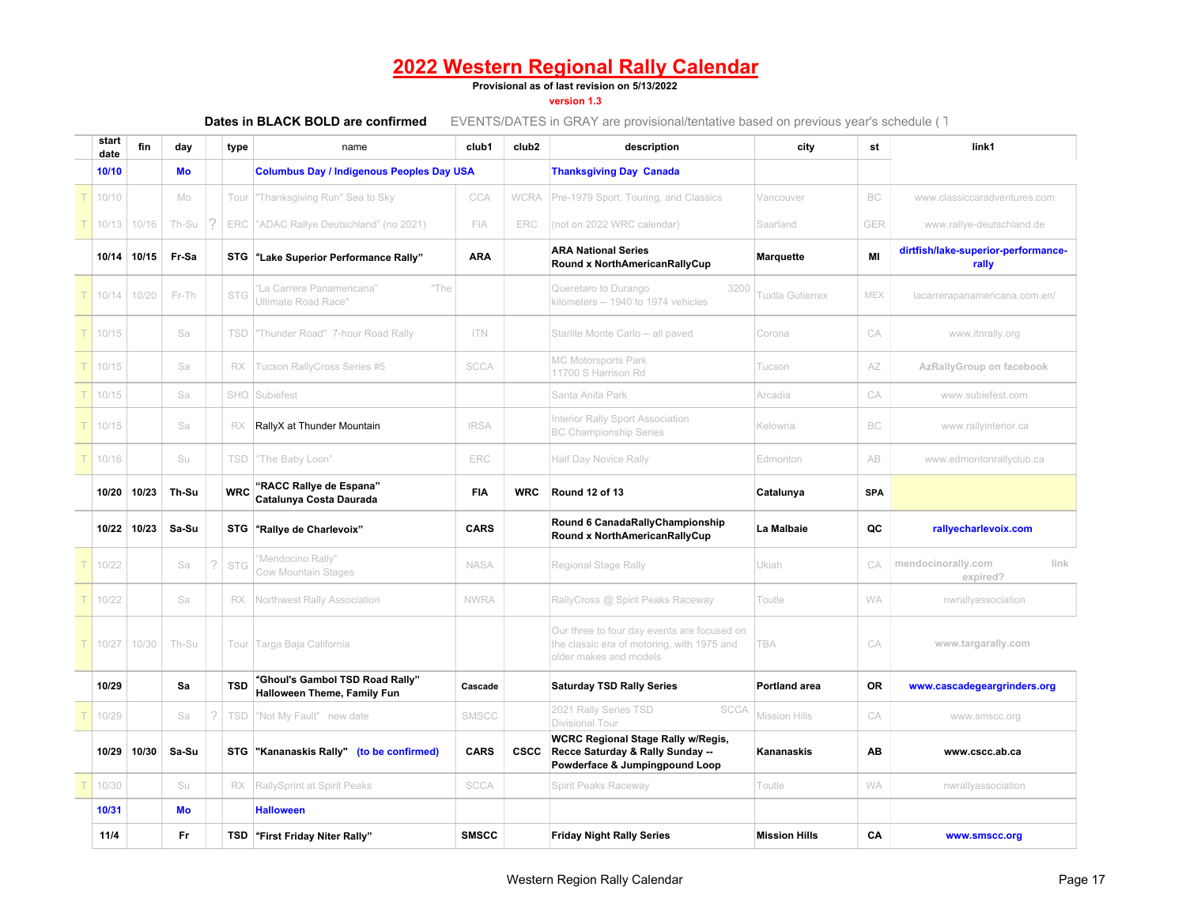**Provisional as of last revision on 5/13/2022**

**version 1.3**

| start<br>date | fin         | day   |   | type       | name                                                           | club1        | club <sub>2</sub> | description                                                                                                         | city                 | st         | link1                                        |
|---------------|-------------|-------|---|------------|----------------------------------------------------------------|--------------|-------------------|---------------------------------------------------------------------------------------------------------------------|----------------------|------------|----------------------------------------------|
| 10/10         |             | Mo    |   |            | <b>Columbus Day / Indigenous Peoples Day USA</b>               |              |                   | <b>Thanksgiving Day Canada</b>                                                                                      |                      |            |                                              |
| 10/10         |             | Mo    |   | Tour       | "Thanksgiving Run" Sea to Sky                                  | CCA          | <b>WCRA</b>       | Pre-1979 Sport, Touring, and Classics                                                                               | Vancouver            | BC.        | www.classiccaradventures.com                 |
| 10/13         | 10/16       | Th-Su |   | <b>ERC</b> | "ADAC Rallye Deutschland" (no 2021)                            | FIA          | ERC               | (not on 2022 WRC calendar)                                                                                          | Saarland             | GER        | www.rallye-deutschland.de                    |
|               | 10/14 10/15 | Fr-Sa |   |            | STG "Lake Superior Performance Rally"                          | <b>ARA</b>   |                   | <b>ARA National Series</b><br>Round x NorthAmericanRallyCup                                                         | <b>Marquette</b>     | MI         | dirtfish/lake-superior-performance-<br>rally |
| 10/14         | 10/20       | Fr-Th |   | <b>STG</b> | La Carrera Panamericana"<br>"The<br>Ultimate Road Race"        |              |                   | Queretaro to Durango<br>3200<br>kilometers -- 1940 to 1974 vehicles                                                 | Tuxtla Gutierrex     | MEX        | lacarrerapanamericana.com.en/                |
| 10/15         |             | Sa    |   | TSD        | "Thunder Road" 7-hour Road Rally                               | <b>ITN</b>   |                   | Starlite Monte Carlo -- all paved                                                                                   | Corona               | CA         | www.itnrally.org                             |
| 10/15         |             | Sa    |   | RX         | Tucson RallyCross Series #5                                    | <b>SCCA</b>  |                   | <b>MC Motorsports Park</b><br>11700 S Harrison Rd                                                                   | Tucson               | AZ         | AzRallyGroup on facebook                     |
| 10/15         |             | Sa    |   | SHO        | Subiefest                                                      |              |                   | Santa Anita Park                                                                                                    | Arcadia              | CA         | www.subiefest.com                            |
| 10/15         |             | Sa    |   | RX         | RallyX at Thunder Mountain                                     | <b>IRSA</b>  |                   | Interior Rally Sport Association<br><b>BC Championship Series</b>                                                   | Kelowna              | BC         | www.rallyinterior.ca                         |
| 10/16         |             | Su    |   | TSD        | "The Baby Loon"                                                | ERC          |                   | Half Day Novice Rally                                                                                               | Edmonton             | AB         | www.edmontonrallyclub.ca                     |
|               | 10/20 10/23 | Th-Su |   | <b>WRC</b> | "RACC Rallye de Espana"<br>Catalunya Costa Daurada             | <b>FIA</b>   | <b>WRC</b>        | <b>Round 12 of 13</b>                                                                                               | Catalunya            | <b>SPA</b> |                                              |
|               | 10/22 10/23 | Sa-Su |   |            | STG "Rallye de Charlevoix"                                     | <b>CARS</b>  |                   | Round 6 CanadaRallyChampionship<br>Round x NorthAmericanRallyCup                                                    | La Malbaie           | QC         | rallyecharlevoix.com                         |
| 10/22         |             | Sa    | 2 | <b>STG</b> | "Mendocino Rally"<br><b>Cow Mountain Stages</b>                | <b>NASA</b>  |                   | Regional Stage Rally                                                                                                | Ukiah                | CA         | link<br>mendocinorally.com<br>expired?       |
| 10/22         |             | Sa    |   | RX         | Northwest Rally Association                                    | <b>NWRA</b>  |                   | RallyCross @ Spirit Peaks Raceway                                                                                   | Toutle               | <b>WA</b>  | nwrallyassociation                           |
| 10/27         | 10/30       | Th-Su |   |            | Tour Targa Baja California                                     |              |                   | Our three to four day events are focused on<br>the classic era of motoring, with 1975 and<br>older makes and models | <b>TBA</b>           | CA         | www.targarally.com                           |
| 10/29         |             | Sa    |   | <b>TSD</b> | "Ghoul's Gambol TSD Road Rally"<br>Halloween Theme, Family Fun | Cascade      |                   | <b>Saturday TSD Rally Series</b>                                                                                    | <b>Portland area</b> | 0R         | www.cascadegeargrinders.org                  |
| 10/29         |             | Sa    | 2 | TSD        | "Not My Fault" new date                                        | SMSCC        |                   | 2021 Rally Series TSD<br><b>SCCA</b><br>Divisional Tour                                                             | <b>Mission Hills</b> | CA         | www.smscc.org                                |
|               | 10/29 10/30 | Sa-Su |   |            | STG "Kananaskis Rally" (to be confirmed)                       | <b>CARS</b>  | <b>CSCC</b>       | <b>WCRC Regional Stage Rally w/Regis,</b><br>Recce Saturday & Rally Sunday --<br>Powderface & Jumpingpound Loop     | Kananaskis           | ΑВ         | www.cscc.ab.ca                               |
| 10/30         |             | Su    |   | RX         | RallySprint at Spirit Peaks                                    | <b>SCCA</b>  |                   | Spirit Peaks Raceway                                                                                                | Toutle               | <b>WA</b>  | nwrallyassociation                           |
| 10/31         |             | Mo    |   |            | <b>Halloween</b>                                               |              |                   |                                                                                                                     |                      |            |                                              |
| 11/4          |             | Fr    |   |            | TSD "First Friday Niter Rally"                                 | <b>SMSCC</b> |                   | <b>Friday Night Rally Series</b>                                                                                    | <b>Mission Hills</b> | CA         | www.smscc.org                                |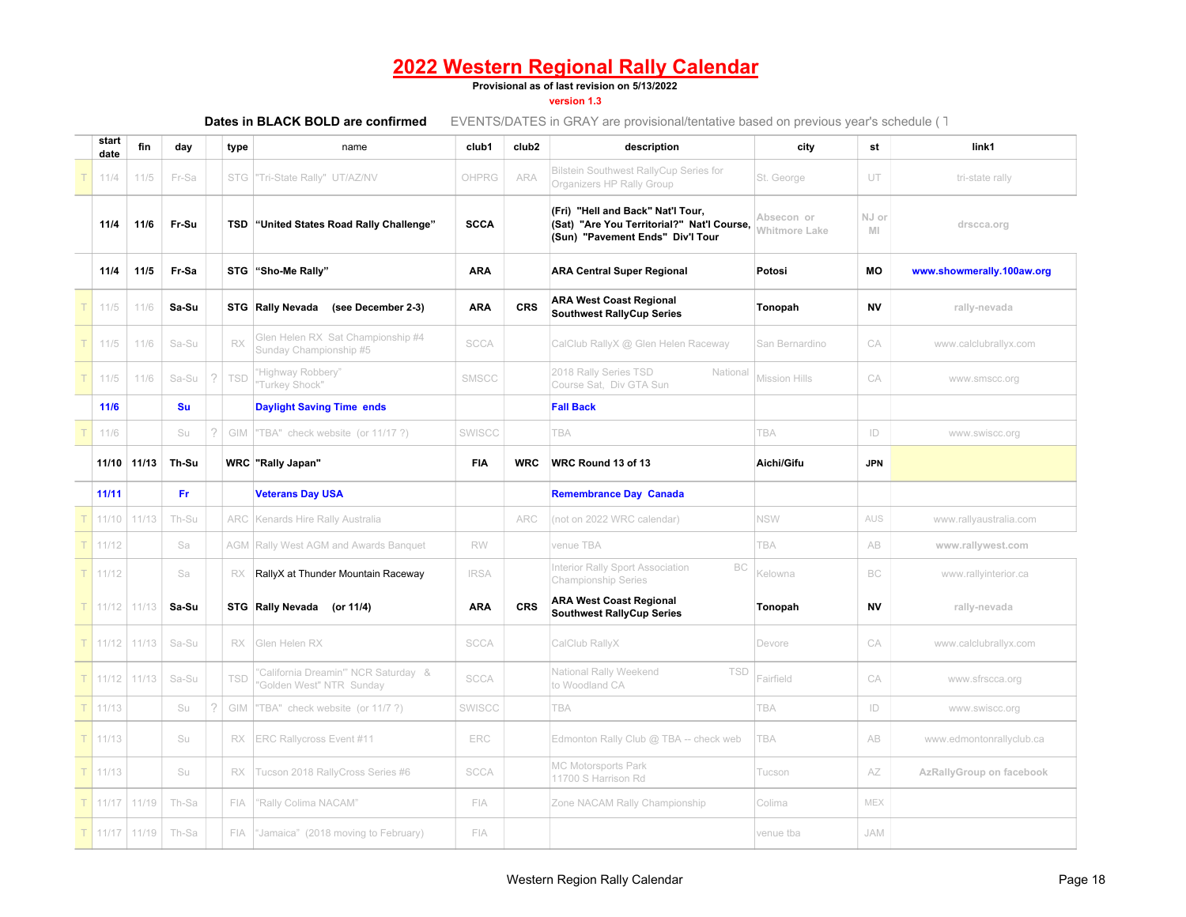#### **Provisional as of last revision on 5/13/2022**

#### **version 1.3**

| start<br>date | fin   | day       |   | type       | name                                                          | club1       | club <sub>2</sub> | description                                                                                                         | city                               | st          | link1                     |
|---------------|-------|-----------|---|------------|---------------------------------------------------------------|-------------|-------------------|---------------------------------------------------------------------------------------------------------------------|------------------------------------|-------------|---------------------------|
| 11/4          | 11/5  | Fr-Sa     |   | <b>STG</b> | "Tri-State Rally" UT/AZ/NV                                    | OHPRG       | <b>ARA</b>        | <b>Bilstein Southwest RallyCup Series for</b><br>Organizers HP Rally Group                                          | St. George                         | UT          | tri-state rally           |
| 11/4          | 11/6  | Fr-Su     |   |            | <b>TSD</b> "United States Road Rally Challenge"               | <b>SCCA</b> |                   | (Fri) "Hell and Back" Nat'l Tour,<br>(Sat) "Are You Territorial?" Nat'l Course,<br>(Sun) "Pavement Ends" Div'l Tour | Absecon or<br><b>Whitmore Lake</b> | NJ or<br>MI | drscca.org                |
| 11/4          | 11/5  | Fr-Sa     |   |            | STG "Sho-Me Rally"                                            | <b>ARA</b>  |                   | <b>ARA Central Super Regional</b>                                                                                   | Potosi                             | <b>MO</b>   | www.showmerally.100aw.org |
| 11/5          | 11/6  | Sa-Su     |   |            | STG Rally Nevada<br>(see December 2-3)                        | <b>ARA</b>  | <b>CRS</b>        | <b>ARA West Coast Regional</b><br><b>Southwest RallyCup Series</b>                                                  | Tonopah                            | <b>NV</b>   | rally-nevada              |
| 11/5          | 11/6  | Sa-Su     |   | RX         | Glen Helen RX Sat Championship #4<br>Sunday Championship #5   | <b>SCCA</b> |                   | CalClub RallyX @ Glen Helen Raceway                                                                                 | San Bernardino                     | CA          | www.calclubrallyx.com     |
| 11/5          | 11/6  | Sa-Su     |   | TSD        | "Highway Robbery"<br>"Turkey Shock"                           | SMSCC       |                   | 2018 Rally Series TSD<br>National<br>Course Sat, Div GTA Sun                                                        | <b>Mission Hills</b>               | CA          | www.smscc.org             |
| 11/6          |       | <b>Su</b> |   |            | <b>Daylight Saving Time ends</b>                              |             |                   | <b>Fall Back</b>                                                                                                    |                                    |             |                           |
| 11/6          |       | Su        | 2 | GIM        | "TBA" check website (or 11/17?)                               | SWISCC      |                   | TBA                                                                                                                 | <b>TBA</b>                         | ID          | www.swiscc.org            |
| 11/10         | 11/13 | Th-Su     |   |            | <b>WRC</b> "Rally Japan"                                      | FIA         | <b>WRC</b>        | WRC Round 13 of 13                                                                                                  | Aichi/Gifu                         | <b>JPN</b>  |                           |
| 11/11         |       | Fr.       |   |            | <b>Veterans Day USA</b>                                       |             |                   | <b>Remembrance Day Canada</b>                                                                                       |                                    |             |                           |
| 11/10         | 11/13 | Th-Su     |   | ARC        | Kenards Hire Rally Australia                                  |             | ARC               | (not on 2022 WRC calendar)                                                                                          | <b>NSW</b>                         | AUS         | www.rallyaustralia.com    |
| 11/12         |       | Sa        |   |            | <b>AGM Rally West AGM and Awards Banquet</b>                  | RW          |                   | venue TBA                                                                                                           | TBA                                | AB          | www.rallywest.com         |
| 11/12         |       | Sa        |   | <b>RX</b>  | RallyX at Thunder Mountain Raceway                            | <b>IRSA</b> |                   | Interior Rally Sport Association<br>BC<br><b>Championship Series</b>                                                | Kelowna                            | BC          | www.rallyinterior.ca      |
| 11/12         | 11/13 | Sa-Su     |   |            | STG Rally Nevada<br>(or 11/4)                                 | <b>ARA</b>  | <b>CRS</b>        | <b>ARA West Coast Regional</b><br><b>Southwest RallyCup Series</b>                                                  | Tonopah                            | <b>NV</b>   | rally-nevada              |
| 11/12         | 11/13 | Sa-Su     |   | RX         | Glen Helen RX                                                 | <b>SCCA</b> |                   | CalClub RallyX                                                                                                      | Devore                             | CA          | www.calclubrallyx.com     |
| 11/12         | 11/13 | Sa-Su     |   | TSD        | California Dreamin" NCR Saturday &<br>Golden West" NTR Sunday | <b>SCCA</b> |                   | National Rally Weekend<br><b>TSD</b><br>to Woodland CA                                                              | Fairfield                          | CA          | www.sfrscca.org           |
| 11/13         |       | Su        | 2 | GIM        | 'TBA" check website (or 11/7?)                                | SWISCC      |                   | TBA                                                                                                                 | TBA                                | ID          | www.swiscc.org            |
| 11/13         |       | Su        |   | RX         | ERC Rallycross Event #11                                      | ERC         |                   | Edmonton Rally Club @ TBA -- check web                                                                              | TBA                                | AB          | www.edmontonrallyclub.ca  |
| 11/13         |       | Su        |   | RX         | Tucson 2018 RallyCross Series #6                              | <b>SCCA</b> |                   | <b>MC Motorsports Park</b><br>11700 S Harrison Rd                                                                   | Tucson                             | AΖ          | AzRallyGroup on facebook  |
| 11/17         | 11/19 | Th-Sa     |   | FIA        | 'Rally Colima NACAM"                                          | <b>FIA</b>  |                   | Zone NACAM Rally Championship                                                                                       | Colima                             | <b>MEX</b>  |                           |
| 11/17         | 11/19 | Th-Sa     |   | FIA        | "Jamaica" (2018 moving to February)                           | FIA         |                   |                                                                                                                     | venue tba                          | <b>JAM</b>  |                           |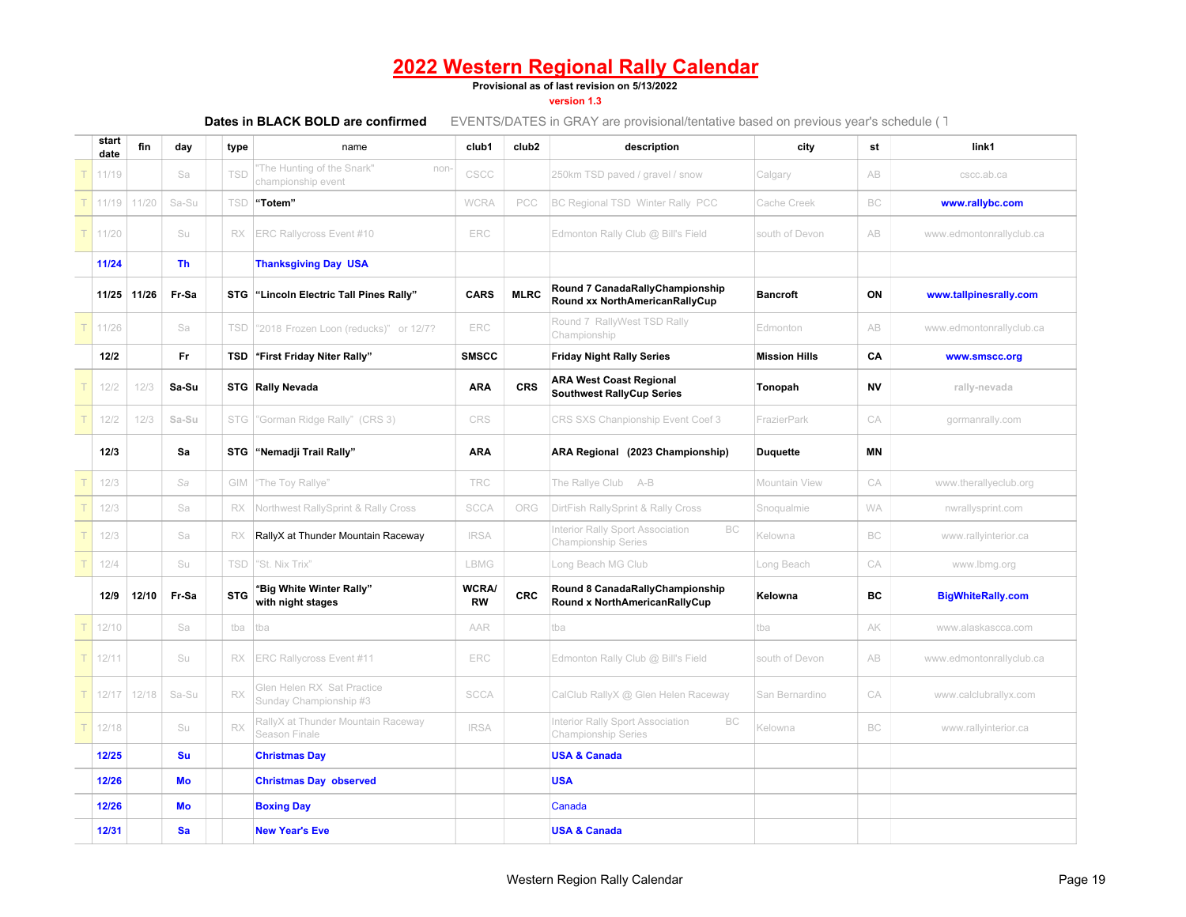**Provisional as of last revision on 5/13/2022**

**version 1.3**

| start<br>date | fin         | day       | type       | name                                                    | club1                     | club <sub>2</sub> | description                                                          | city                 | st        | link1                    |
|---------------|-------------|-----------|------------|---------------------------------------------------------|---------------------------|-------------------|----------------------------------------------------------------------|----------------------|-----------|--------------------------|
| 11/19         |             | Sa        | TSD        | 'The Hunting of the Snark"<br>non<br>championship event | CSCC                      |                   | 250km TSD paved / gravel / snow                                      | Calgary              | AB        | cscc.ab.ca               |
| 11/19         | 11/20       | Sa-Su     | <b>TSD</b> | "Totem"                                                 | <b>WCRA</b>               | PCC               | BC Regional TSD Winter Rally PCC                                     | Cache Creek          | BC        | www.rallybc.com          |
| 11/20         |             | Su        | RX.        | <b>ERC Rallycross Event #10</b>                         | ERC                       |                   | Edmonton Rally Club @ Bill's Field                                   | south of Devon       | AB        | www.edmontonrallyclub.ca |
| 11/24         |             | <b>Th</b> |            | <b>Thanksgiving Day USA</b>                             |                           |                   |                                                                      |                      |           |                          |
|               | 11/25 11/26 | Fr-Sa     |            | STG "Lincoln Electric Tall Pines Rally"                 | <b>CARS</b>               | <b>MLRC</b>       | Round 7 CanadaRallyChampionship<br>Round xx NorthAmericanRallyCup    | <b>Bancroft</b>      | ON        | www.tallpinesrally.com   |
| 11/26         |             | Sa        | TSD        | "2018 Frozen Loon (reducks)" or 12/7?                   | ERC                       |                   | Round 7 RallyWest TSD Rally<br>Championship                          | Edmonton             | AB        | www.edmontonrallyclub.ca |
| 12/2          |             | Fr.       | TSD        | "First Friday Niter Rally"                              | <b>SMSCC</b>              |                   | <b>Friday Night Rally Series</b>                                     | <b>Mission Hills</b> | CA        | www.smscc.org            |
| 12/2          | 12/3        | Sa-Su     |            | STG Rally Nevada                                        | <b>ARA</b>                | <b>CRS</b>        | <b>ARA West Coast Regional</b><br><b>Southwest RallyCup Series</b>   | Tonopah              | <b>NV</b> | rally-nevada             |
| 12/2          | 12/3        | Sa-Su     | <b>STG</b> | "Gorman Ridge Rally" (CRS 3)                            | CRS                       |                   | CRS SXS Chanpionship Event Coef 3                                    | FrazierPark          | CA        | gormanrally.com          |
| 12/3          |             | Sa        |            | STG "Nemadji Trail Rally"                               | <b>ARA</b>                |                   | ARA Regional (2023 Championship)                                     | <b>Duquette</b>      | ΜN        |                          |
| 12/3          |             | Sa        | GIM        | "The Toy Rallye"                                        | <b>TRC</b>                |                   | The Rallye Club A-B                                                  | Mountain View        | CA        | www.therallyeclub.org    |
| 12/3          |             | Sa        | RX         | Northwest RallySprint & Rally Cross                     | <b>SCCA</b>               | ORG               | DirtFish RallySprint & Rally Cross                                   | Snoqualmie           | <b>WA</b> | nwrallysprint.com        |
| 12/3          |             | Sa        | RX         | RallyX at Thunder Mountain Raceway                      | <b>IRSA</b>               |                   | nterior Rally Sport Association<br>BC<br><b>Championship Series</b>  | Kelowna              | BC        | www.rallyinterior.ca     |
| 12/4          |             | Su        | TSD        | "St. Nix Trix"                                          | LBMG                      |                   | ong Beach MG Club                                                    | Long Beach           | CA        | www.lbmg.org             |
| 12/9          | 12/10       | Fr-Sa     | <b>STG</b> | "Big White Winter Rally"<br>with night stages           | <b>WCRA/</b><br><b>RW</b> | <b>CRC</b>        | Round 8 CanadaRallyChampionship<br>Round x NorthAmericanRallyCup     | Kelowna              | ВC        | <b>BigWhiteRally.com</b> |
| 12/10         |             | Sa        | tba        | tba                                                     | AAR                       |                   | tba                                                                  | tba                  | AK        | www.alaskascca.com       |
| 12/11         |             | Su        | RX         | ERC Rallycross Event #11                                | ERC                       |                   | Edmonton Rally Club @ Bill's Field                                   | south of Devon       | AB        | www.edmontonrallyclub.ca |
| 12/17         | 12/18       | Sa-Su     | RX         | Glen Helen RX Sat Practice<br>Sunday Championship #3    | <b>SCCA</b>               |                   | CalClub RallyX @ Glen Helen Raceway                                  | San Bernardino       | CA        | www.calclubrallyx.com    |
| 12/18         |             | Su        | RX         | RallyX at Thunder Mountain Raceway<br>Season Finale     | <b>IRSA</b>               |                   | Interior Rally Sport Association<br>BC<br><b>Championship Series</b> | Kelowna              | BC        | www.rallyinterior.ca     |
| 12/25         |             | Su        |            | <b>Christmas Day</b>                                    |                           |                   | <b>USA &amp; Canada</b>                                              |                      |           |                          |
| 12/26         |             | Mo        |            | <b>Christmas Day observed</b>                           |                           |                   | <b>USA</b>                                                           |                      |           |                          |
| 12/26         |             | Mo        |            | <b>Boxing Day</b>                                       |                           |                   | Canada                                                               |                      |           |                          |
| 12/31         |             | Sa        |            | <b>New Year's Eve</b>                                   |                           |                   | <b>USA &amp; Canada</b>                                              |                      |           |                          |